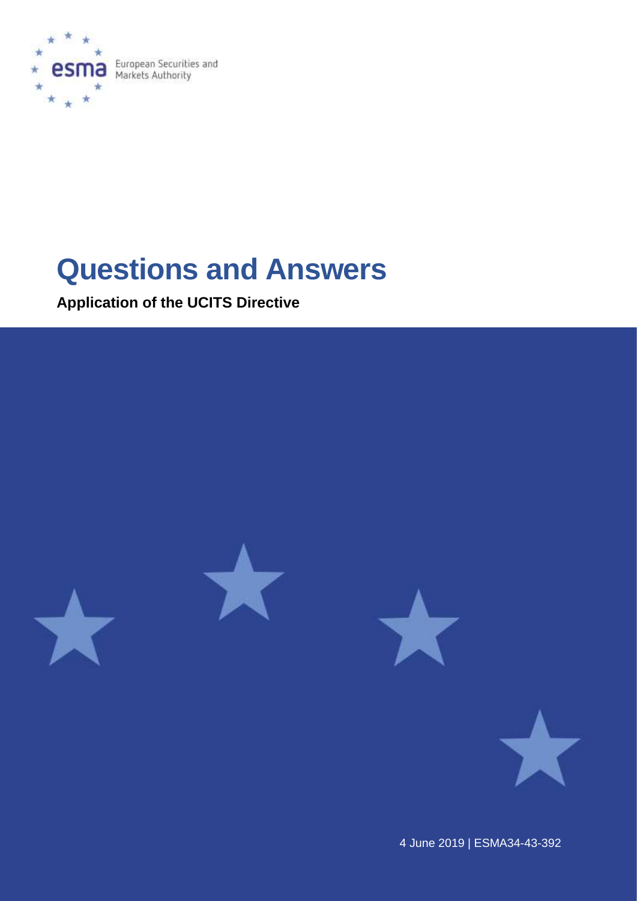

European Securities and<br>Markets Authority

# **Questions and Answers**

**Application of the UCITS Directive**



4 June 2019 | ESMA34-43-392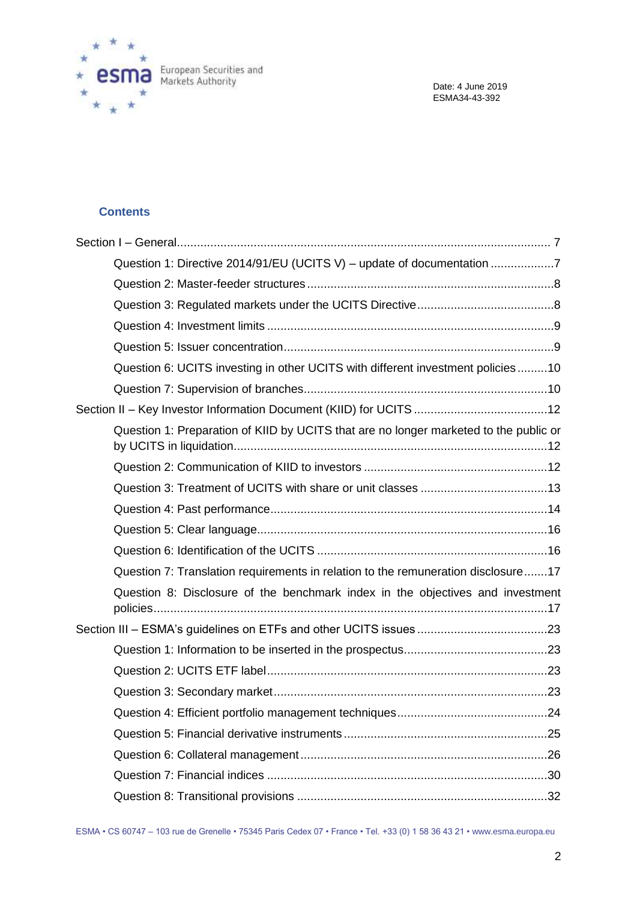

# **Contents**

| Question 1: Directive 2014/91/EU (UCITS V) - update of documentation 7                |  |
|---------------------------------------------------------------------------------------|--|
|                                                                                       |  |
|                                                                                       |  |
|                                                                                       |  |
|                                                                                       |  |
| Question 6: UCITS investing in other UCITS with different investment policies10       |  |
|                                                                                       |  |
|                                                                                       |  |
| Question 1: Preparation of KIID by UCITS that are no longer marketed to the public or |  |
|                                                                                       |  |
|                                                                                       |  |
|                                                                                       |  |
|                                                                                       |  |
|                                                                                       |  |
| Question 7: Translation requirements in relation to the remuneration disclosure17     |  |
|                                                                                       |  |
| Question 8: Disclosure of the benchmark index in the objectives and investment        |  |
|                                                                                       |  |
|                                                                                       |  |
|                                                                                       |  |
|                                                                                       |  |
|                                                                                       |  |
|                                                                                       |  |
|                                                                                       |  |
|                                                                                       |  |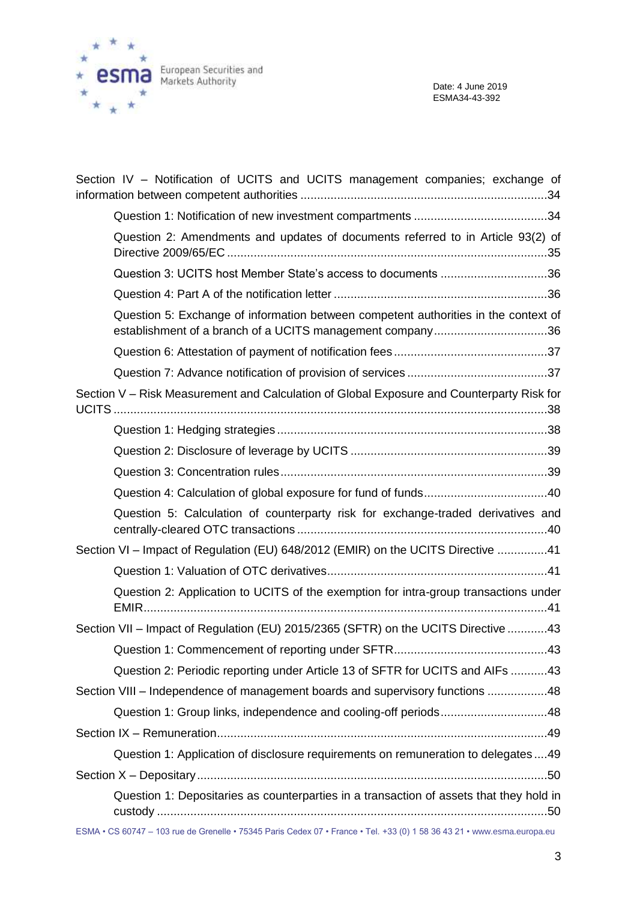

| Section IV - Notification of UCITS and UCITS management companies; exchange of                                                                   |
|--------------------------------------------------------------------------------------------------------------------------------------------------|
|                                                                                                                                                  |
| Question 2: Amendments and updates of documents referred to in Article 93(2) of                                                                  |
| Question 3: UCITS host Member State's access to documents 36                                                                                     |
|                                                                                                                                                  |
| Question 5: Exchange of information between competent authorities in the context of<br>establishment of a branch of a UCITS management company36 |
|                                                                                                                                                  |
|                                                                                                                                                  |
| Section V - Risk Measurement and Calculation of Global Exposure and Counterparty Risk for                                                        |
|                                                                                                                                                  |
|                                                                                                                                                  |
|                                                                                                                                                  |
|                                                                                                                                                  |
| Question 5: Calculation of counterparty risk for exchange-traded derivatives and                                                                 |
| Section VI - Impact of Regulation (EU) 648/2012 (EMIR) on the UCITS Directive 41                                                                 |
|                                                                                                                                                  |
| Question 2: Application to UCITS of the exemption for intra-group transactions under                                                             |
| Section VII - Impact of Regulation (EU) 2015/2365 (SFTR) on the UCITS Directive 43                                                               |
|                                                                                                                                                  |
| Question 2: Periodic reporting under Article 13 of SFTR for UCITS and AIFs 43                                                                    |
| Section VIII - Independence of management boards and supervisory functions 48                                                                    |
| Question 1: Group links, independence and cooling-off periods48                                                                                  |
|                                                                                                                                                  |
| Question 1: Application of disclosure requirements on remuneration to delegates49                                                                |
|                                                                                                                                                  |
| Question 1: Depositaries as counterparties in a transaction of assets that they hold in                                                          |

ESMA • CS 60747 – 103 rue de Grenelle • 75345 Paris Cedex 07 • France • Tel. +33 (0) 1 58 36 43 21 • www.esma.europa.eu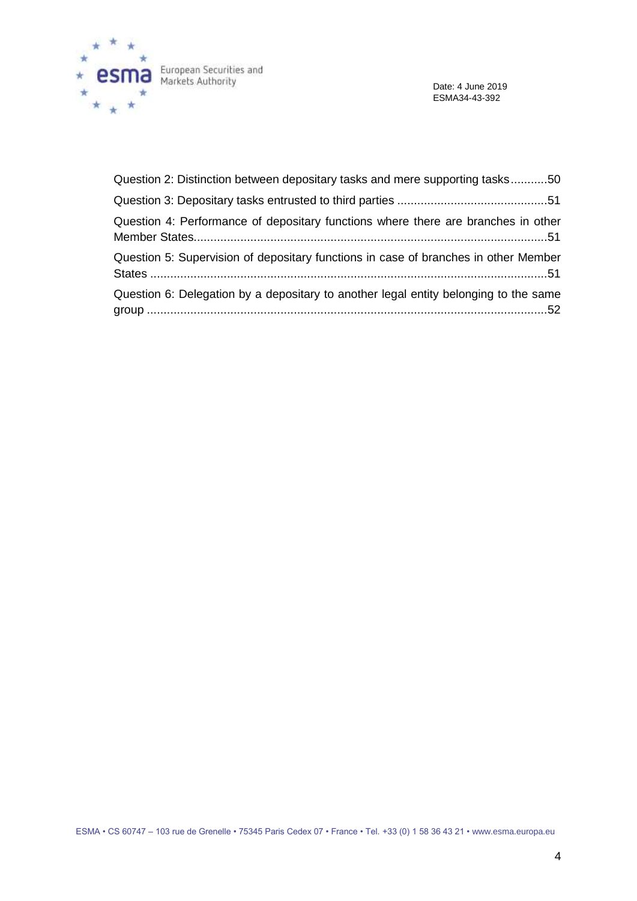

Date: 4 June 2019 ESMA34-43-392

| Question 2: Distinction between depositary tasks and mere supporting tasks50         |  |
|--------------------------------------------------------------------------------------|--|
|                                                                                      |  |
| Question 4: Performance of depositary functions where there are branches in other    |  |
| Question 5: Supervision of depositary functions in case of branches in other Member  |  |
| Question 6: Delegation by a depositary to another legal entity belonging to the same |  |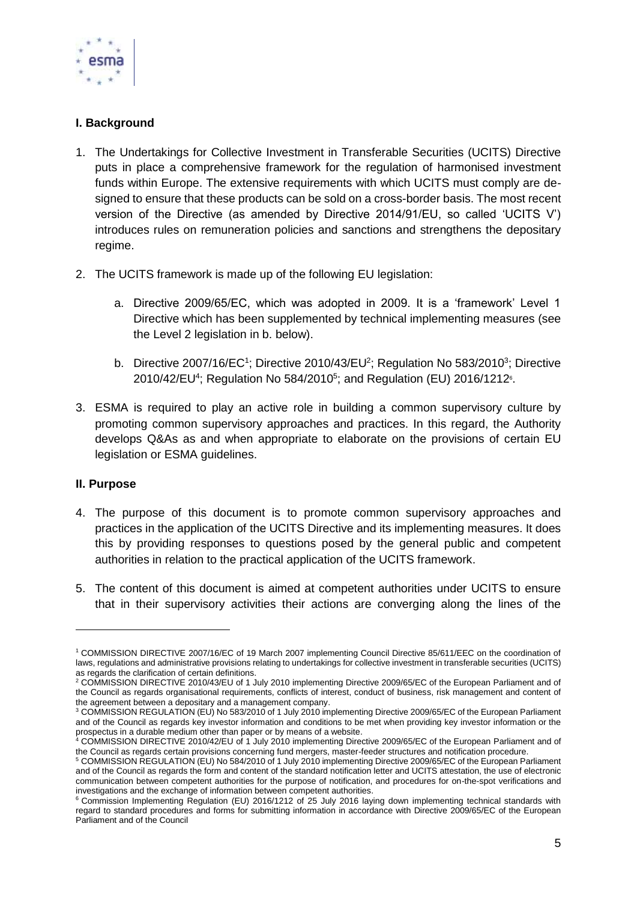

# **I. Background**

- 1. The Undertakings for Collective Investment in Transferable Securities (UCITS) Directive puts in place a comprehensive framework for the regulation of harmonised investment funds within Europe. The extensive requirements with which UCITS must comply are designed to ensure that these products can be sold on a cross-border basis. The most recent version of the Directive (as amended by Directive 2014/91/EU, so called 'UCITS V') introduces rules on remuneration policies and sanctions and strengthens the depositary regime.
- 2. The UCITS framework is made up of the following EU legislation:
	- a. Directive 2009/65/EC, which was adopted in 2009. It is a 'framework' Level 1 Directive which has been supplemented by technical implementing measures (see the Level 2 legislation in b. below).
	- b. Directive 2007/16/EC<sup>1</sup>; Directive 2010/43/EU<sup>2</sup>; Regulation No 583/2010<sup>3</sup>; Directive 2010/42/EU<sup>4</sup>; Regulation No 584/2010<sup>5</sup>; and Regulation (EU) 2016/1212<sup>6</sup>.
- 3. ESMA is required to play an active role in building a common supervisory culture by promoting common supervisory approaches and practices. In this regard, the Authority develops Q&As as and when appropriate to elaborate on the provisions of certain EU legislation or ESMA guidelines.

# **II. Purpose**

1

- 4. The purpose of this document is to promote common supervisory approaches and practices in the application of the UCITS Directive and its implementing measures. It does this by providing responses to questions posed by the general public and competent authorities in relation to the practical application of the UCITS framework.
- 5. The content of this document is aimed at competent authorities under UCITS to ensure that in their supervisory activities their actions are converging along the lines of the

<sup>1</sup> COMMISSION DIRECTIVE 2007/16/EC of 19 March 2007 implementing Council Directive 85/611/EEC on the coordination of laws, regulations and administrative provisions relating to undertakings for collective investment in transferable securities (UCITS) as regards the clarification of certain definitions.

<sup>2</sup> COMMISSION DIRECTIVE 2010/43/EU of 1 July 2010 implementing Directive 2009/65/EC of the European Parliament and of the Council as regards organisational requirements, conflicts of interest, conduct of business, risk management and content of the agreement between a depositary and a management company.

<sup>3</sup> COMMISSION REGULATION (EU) No 583/2010 of 1 July 2010 implementing Directive 2009/65/EC of the European Parliament and of the Council as regards key investor information and conditions to be met when providing key investor information or the prospectus in a durable medium other than paper or by means of a website.

<sup>4</sup> COMMISSION DIRECTIVE 2010/42/EU of 1 July 2010 implementing Directive 2009/65/EC of the European Parliament and of the Council as regards certain provisions concerning fund mergers, master-feeder structures and notification procedure.

<sup>5</sup> COMMISSION REGULATION (EU) No 584/2010 of 1 July 2010 implementing Directive 2009/65/EC of the European Parliament and of the Council as regards the form and content of the standard notification letter and UCITS attestation, the use of electronic communication between competent authorities for the purpose of notification, and procedures for on-the-spot verifications and investigations and the exchange of information between competent authorities.

<sup>6</sup> Commission Implementing Regulation (EU) 2016/1212 of 25 July 2016 laying down implementing technical standards with regard to standard procedures and forms for submitting information in accordance with Directive 2009/65/EC of the European Parliament and of the Council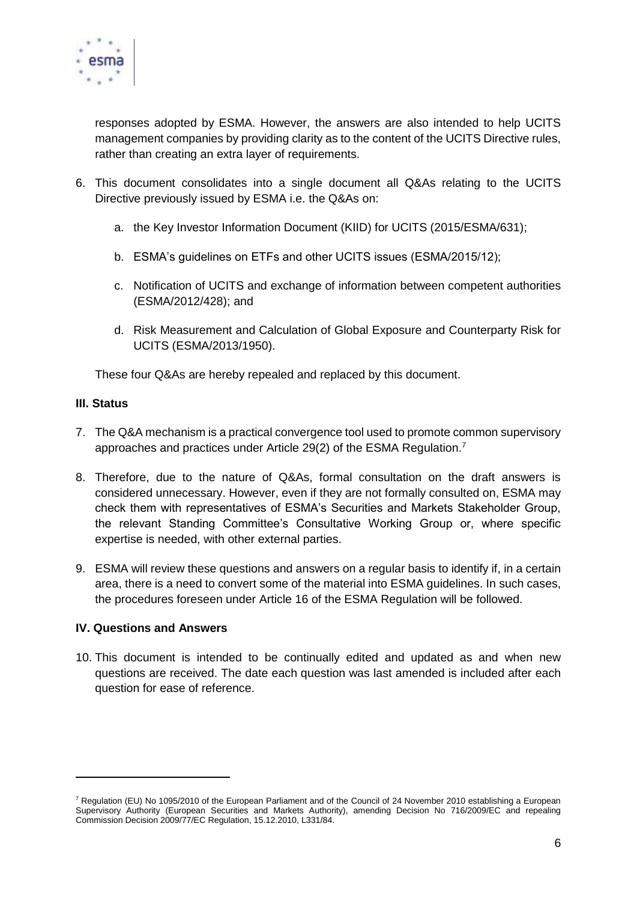

responses adopted by ESMA. However, the answers are also intended to help UCITS management companies by providing clarity as to the content of the UCITS Directive rules, rather than creating an extra layer of requirements.

- 6. This document consolidates into a single document all Q&As relating to the UCITS Directive previously issued by ESMA i.e. the Q&As on:
	- a. the Key Investor Information Document (KIID) for UCITS (2015/ESMA/631);
	- b. ESMA's guidelines on ETFs and other UCITS issues (ESMA/2015/12);
	- c. Notification of UCITS and exchange of information between competent authorities (ESMA/2012/428); and
	- d. Risk Measurement and Calculation of Global Exposure and Counterparty Risk for UCITS (ESMA/2013/1950).

These four Q&As are hereby repealed and replaced by this document.

## **III. Status**

 $\overline{a}$ 

- 7. The Q&A mechanism is a practical convergence tool used to promote common supervisory approaches and practices under Article 29(2) of the ESMA Regulation.<sup>7</sup>
- 8. Therefore, due to the nature of Q&As, formal consultation on the draft answers is considered unnecessary. However, even if they are not formally consulted on, ESMA may check them with representatives of ESMA's Securities and Markets Stakeholder Group, the relevant Standing Committee's Consultative Working Group or, where specific expertise is needed, with other external parties.
- 9. ESMA will review these questions and answers on a regular basis to identify if, in a certain area, there is a need to convert some of the material into ESMA guidelines. In such cases, the procedures foreseen under Article 16 of the ESMA Regulation will be followed.

## **IV. Questions and Answers**

10. This document is intended to be continually edited and updated as and when new questions are received. The date each question was last amended is included after each question for ease of reference.

 $7$  Regulation (EU) No 1095/2010 of the European Parliament and of the Council of 24 November 2010 establishing a European Supervisory Authority (European Securities and Markets Authority), amending Decision No 716/2009/EC and repealing Commission Decision 2009/77/EC Regulation, 15.12.2010, L331/84.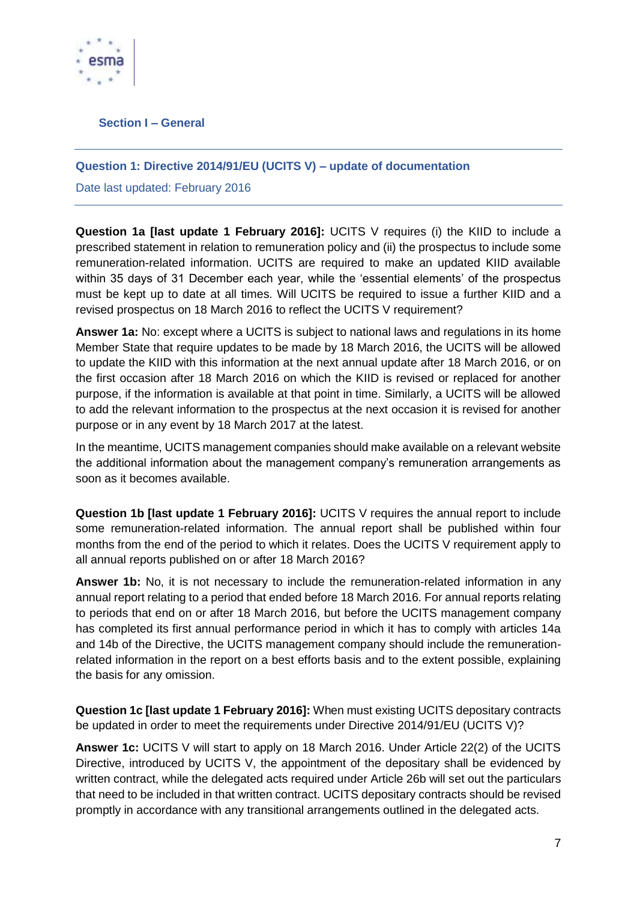

<span id="page-6-0"></span>**Section I – General**

## <span id="page-6-1"></span>**Question 1: Directive 2014/91/EU (UCITS V) – update of documentation**

Date last updated: February 2016

**Question 1a [last update 1 February 2016]:** UCITS V requires (i) the KIID to include a prescribed statement in relation to remuneration policy and (ii) the prospectus to include some remuneration-related information. UCITS are required to make an updated KIID available within 35 days of 31 December each year, while the 'essential elements' of the prospectus must be kept up to date at all times. Will UCITS be required to issue a further KIID and a revised prospectus on 18 March 2016 to reflect the UCITS V requirement?

**Answer 1a:** No: except where a UCITS is subject to national laws and regulations in its home Member State that require updates to be made by 18 March 2016, the UCITS will be allowed to update the KIID with this information at the next annual update after 18 March 2016, or on the first occasion after 18 March 2016 on which the KIID is revised or replaced for another purpose, if the information is available at that point in time. Similarly, a UCITS will be allowed to add the relevant information to the prospectus at the next occasion it is revised for another purpose or in any event by 18 March 2017 at the latest.

In the meantime, UCITS management companies should make available on a relevant website the additional information about the management company's remuneration arrangements as soon as it becomes available.

**Question 1b [last update 1 February 2016]:** UCITS V requires the annual report to include some remuneration-related information. The annual report shall be published within four months from the end of the period to which it relates. Does the UCITS V requirement apply to all annual reports published on or after 18 March 2016?

**Answer 1b:** No, it is not necessary to include the remuneration-related information in any annual report relating to a period that ended before 18 March 2016. For annual reports relating to periods that end on or after 18 March 2016, but before the UCITS management company has completed its first annual performance period in which it has to comply with articles 14a and 14b of the Directive, the UCITS management company should include the remunerationrelated information in the report on a best efforts basis and to the extent possible, explaining the basis for any omission.

**Question 1c [last update 1 February 2016]:** When must existing UCITS depositary contracts be updated in order to meet the requirements under Directive 2014/91/EU (UCITS V)?

**Answer 1c:** UCITS V will start to apply on 18 March 2016. Under Article 22(2) of the UCITS Directive, introduced by UCITS V, the appointment of the depositary shall be evidenced by written contract, while the delegated acts required under Article 26b will set out the particulars that need to be included in that written contract. UCITS depositary contracts should be revised promptly in accordance with any transitional arrangements outlined in the delegated acts.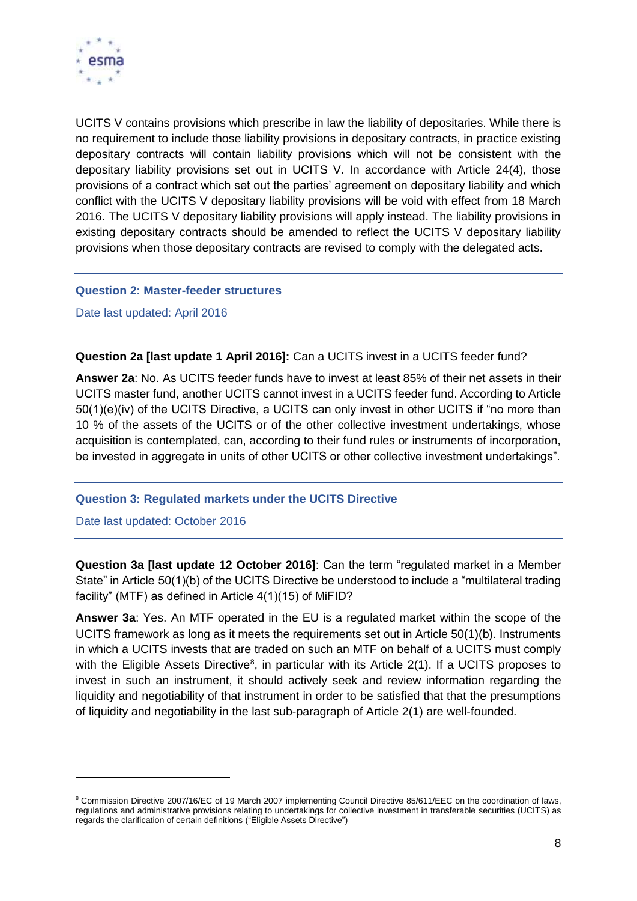

UCITS V contains provisions which prescribe in law the liability of depositaries. While there is no requirement to include those liability provisions in depositary contracts, in practice existing depositary contracts will contain liability provisions which will not be consistent with the depositary liability provisions set out in UCITS V. In accordance with Article 24(4), those provisions of a contract which set out the parties' agreement on depositary liability and which conflict with the UCITS V depositary liability provisions will be void with effect from 18 March 2016. The UCITS V depositary liability provisions will apply instead. The liability provisions in existing depositary contracts should be amended to reflect the UCITS V depositary liability provisions when those depositary contracts are revised to comply with the delegated acts.

#### <span id="page-7-0"></span>**Question 2: Master-feeder structures**

Date last updated: April 2016

**Question 2a [last update 1 April 2016]:** Can a UCITS invest in a UCITS feeder fund?

**Answer 2a**: No. As UCITS feeder funds have to invest at least 85% of their net assets in their UCITS master fund, another UCITS cannot invest in a UCITS feeder fund. According to Article 50(1)(e)(iv) of the UCITS Directive, a UCITS can only invest in other UCITS if "no more than 10 % of the assets of the UCITS or of the other collective investment undertakings, whose acquisition is contemplated, can, according to their fund rules or instruments of incorporation, be invested in aggregate in units of other UCITS or other collective investment undertakings".

## <span id="page-7-1"></span>**Question 3: Regulated markets under the UCITS Directive**

Date last updated: October 2016

 $\overline{a}$ 

**Question 3a [last update 12 October 2016]**: Can the term "regulated market in a Member State" in Article 50(1)(b) of the UCITS Directive be understood to include a "multilateral trading facility" (MTF) as defined in Article 4(1)(15) of MiFID?

**Answer 3a**: Yes. An MTF operated in the EU is a regulated market within the scope of the UCITS framework as long as it meets the requirements set out in Article 50(1)(b). Instruments in which a UCITS invests that are traded on such an MTF on behalf of a UCITS must comply with the Eligible Assets Directive<sup>8</sup>, in particular with its Article  $2(1)$ . If a UCITS proposes to invest in such an instrument, it should actively seek and review information regarding the liquidity and negotiability of that instrument in order to be satisfied that that the presumptions of liquidity and negotiability in the last sub-paragraph of Article 2(1) are well-founded.

<sup>&</sup>lt;sup>8</sup> Commission Directive 2007/16/EC of 19 March 2007 implementing Council Directive 85/611/EEC on the coordination of laws, regulations and administrative provisions relating to undertakings for collective investment in transferable securities (UCITS) as regards the clarification of certain definitions ("Eligible Assets Directive")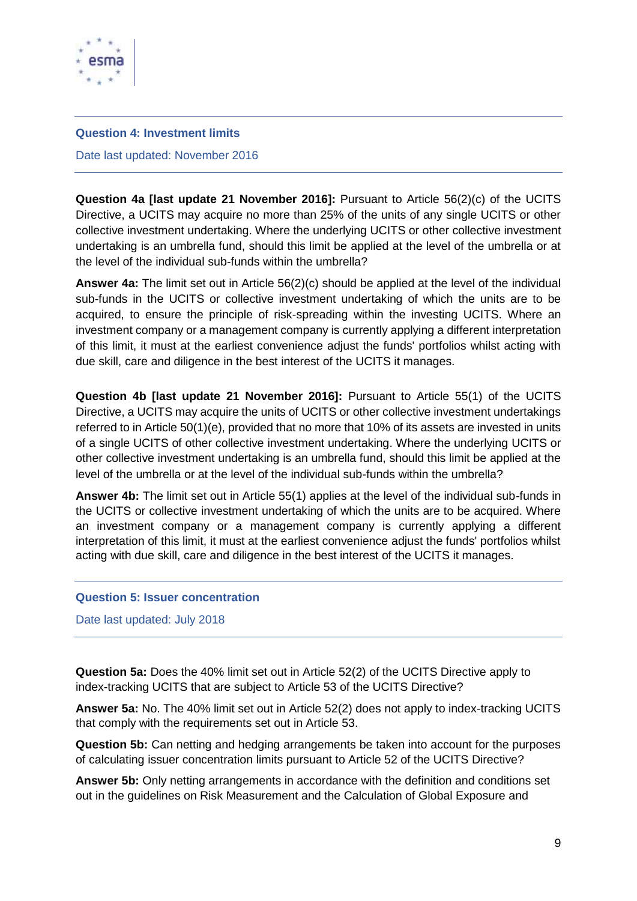

#### <span id="page-8-0"></span>**Question 4: Investment limits**

Date last updated: November 2016

**Question 4a [last update 21 November 2016]:** Pursuant to Article 56(2)(c) of the UCITS Directive, a UCITS may acquire no more than 25% of the units of any single UCITS or other collective investment undertaking. Where the underlying UCITS or other collective investment undertaking is an umbrella fund, should this limit be applied at the level of the umbrella or at the level of the individual sub-funds within the umbrella?

**Answer 4a:** The limit set out in Article 56(2)(c) should be applied at the level of the individual sub-funds in the UCITS or collective investment undertaking of which the units are to be acquired, to ensure the principle of risk-spreading within the investing UCITS. Where an investment company or a management company is currently applying a different interpretation of this limit, it must at the earliest convenience adjust the funds' portfolios whilst acting with due skill, care and diligence in the best interest of the UCITS it manages.

**Question 4b [last update 21 November 2016]:** Pursuant to Article 55(1) of the UCITS Directive, a UCITS may acquire the units of UCITS or other collective investment undertakings referred to in Article 50(1)(e), provided that no more that 10% of its assets are invested in units of a single UCITS of other collective investment undertaking. Where the underlying UCITS or other collective investment undertaking is an umbrella fund, should this limit be applied at the level of the umbrella or at the level of the individual sub-funds within the umbrella?

**Answer 4b:** The limit set out in Article 55(1) applies at the level of the individual sub-funds in the UCITS or collective investment undertaking of which the units are to be acquired. Where an investment company or a management company is currently applying a different interpretation of this limit, it must at the earliest convenience adjust the funds' portfolios whilst acting with due skill, care and diligence in the best interest of the UCITS it manages.

#### <span id="page-8-1"></span>**Question 5: Issuer concentration**

Date last updated: July 2018

**Question 5a:** Does the 40% limit set out in Article 52(2) of the UCITS Directive apply to index-tracking UCITS that are subject to Article 53 of the UCITS Directive?

**Answer 5a:** No. The 40% limit set out in Article 52(2) does not apply to index-tracking UCITS that comply with the requirements set out in Article 53.

**Question 5b:** Can netting and hedging arrangements be taken into account for the purposes of calculating issuer concentration limits pursuant to Article 52 of the UCITS Directive?

**Answer 5b:** Only netting arrangements in accordance with the definition and conditions set out in the guidelines on Risk Measurement and the Calculation of Global Exposure and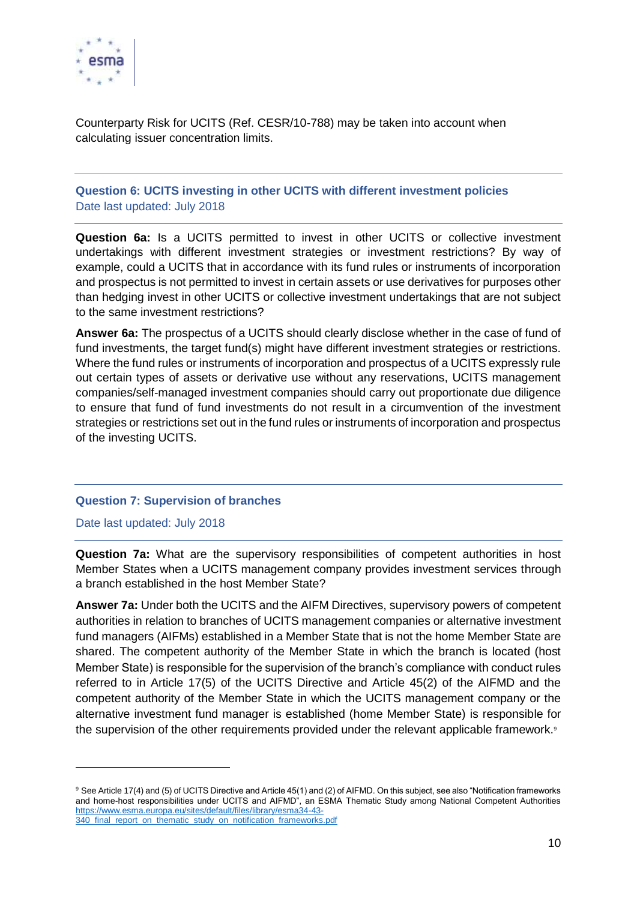

Counterparty Risk for UCITS (Ref. CESR/10-788) may be taken into account when calculating issuer concentration limits.

# <span id="page-9-0"></span>**Question 6: UCITS investing in other UCITS with different investment policies** Date last updated: July 2018

**Question 6a:** Is a UCITS permitted to invest in other UCITS or collective investment undertakings with different investment strategies or investment restrictions? By way of example, could a UCITS that in accordance with its fund rules or instruments of incorporation and prospectus is not permitted to invest in certain assets or use derivatives for purposes other than hedging invest in other UCITS or collective investment undertakings that are not subject to the same investment restrictions?

**Answer 6a:** The prospectus of a UCITS should clearly disclose whether in the case of fund of fund investments, the target fund(s) might have different investment strategies or restrictions. Where the fund rules or instruments of incorporation and prospectus of a UCITS expressly rule out certain types of assets or derivative use without any reservations, UCITS management companies/self-managed investment companies should carry out proportionate due diligence to ensure that fund of fund investments do not result in a circumvention of the investment strategies or restrictions set out in the fund rules or instruments of incorporation and prospectus of the investing UCITS.

## <span id="page-9-1"></span>**Question 7: Supervision of branches**

Date last updated: July 2018

-

**Question 7a:** What are the supervisory responsibilities of competent authorities in host Member States when a UCITS management company provides investment services through a branch established in the host Member State?

**Answer 7a:** Under both the UCITS and the AIFM Directives, supervisory powers of competent authorities in relation to branches of UCITS management companies or alternative investment fund managers (AIFMs) established in a Member State that is not the home Member State are shared. The competent authority of the Member State in which the branch is located (host Member State) is responsible for the supervision of the branch's compliance with conduct rules referred to in Article 17(5) of the UCITS Directive and Article 45(2) of the AIFMD and the competent authority of the Member State in which the UCITS management company or the alternative investment fund manager is established (home Member State) is responsible for the supervision of the other requirements provided under the relevant applicable framework.<sup>9</sup>

<sup>9</sup> See Article 17(4) and (5) of UCITS Directive and Article 45(1) and (2) of AIFMD. On this subject, see also "Notification frameworks and home-host responsibilities under UCITS and AIFMD", an ESMA Thematic Study among National Competent Authorities [https://www.esma.europa.eu/sites/default/files/library/esma34-43-](https://www.esma.europa.eu/sites/default/files/library/esma34-43-%20340_final_report_on_thematic_study_on_notification_frameworks.pdf) 340 final report on thematic study on notification frameworks.pdf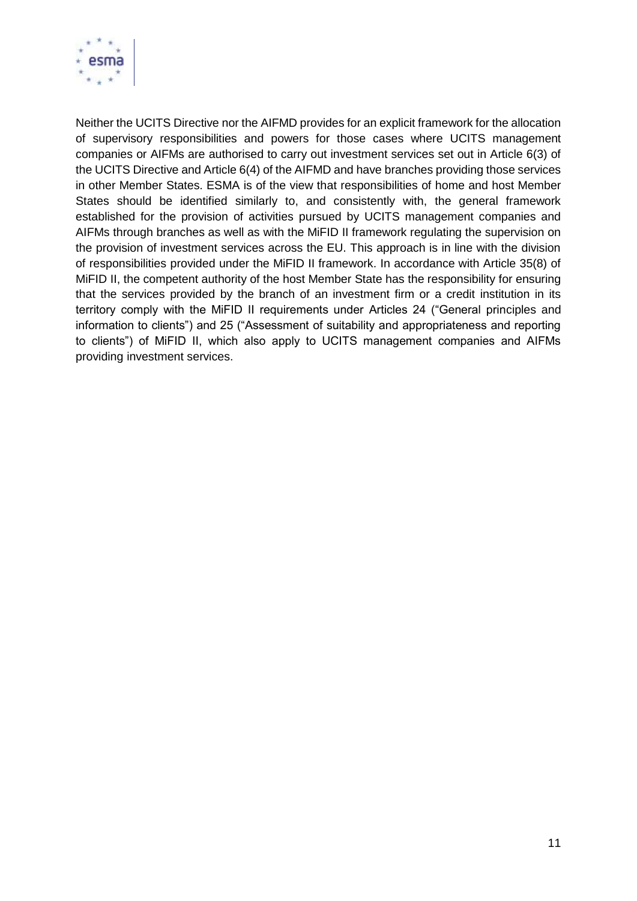

Neither the UCITS Directive nor the AIFMD provides for an explicit framework for the allocation of supervisory responsibilities and powers for those cases where UCITS management companies or AIFMs are authorised to carry out investment services set out in Article 6(3) of the UCITS Directive and Article 6(4) of the AIFMD and have branches providing those services in other Member States. ESMA is of the view that responsibilities of home and host Member States should be identified similarly to, and consistently with, the general framework established for the provision of activities pursued by UCITS management companies and AIFMs through branches as well as with the MiFID II framework regulating the supervision on the provision of investment services across the EU. This approach is in line with the division of responsibilities provided under the MiFID II framework. In accordance with Article 35(8) of MiFID II, the competent authority of the host Member State has the responsibility for ensuring that the services provided by the branch of an investment firm or a credit institution in its territory comply with the MiFID II requirements under Articles 24 ("General principles and information to clients") and 25 ("Assessment of suitability and appropriateness and reporting to clients") of MiFID II, which also apply to UCITS management companies and AIFMs providing investment services.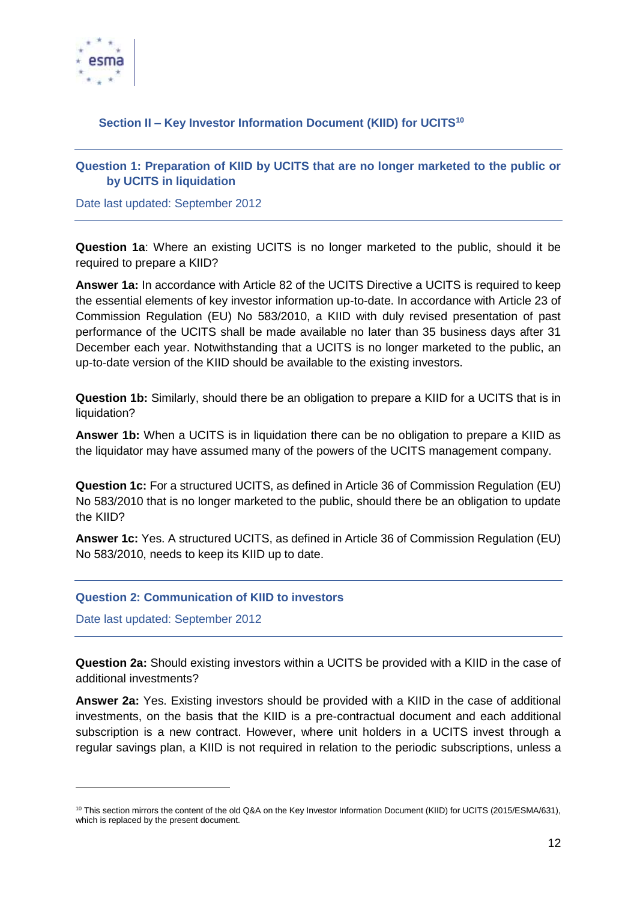

# <span id="page-11-0"></span>**Section II – Key Investor Information Document (KIID) for UCITS<sup>10</sup>**

## <span id="page-11-1"></span>**Question 1: Preparation of KIID by UCITS that are no longer marketed to the public or by UCITS in liquidation**

Date last updated: September 2012

**Question 1a**: Where an existing UCITS is no longer marketed to the public, should it be required to prepare a KIID?

**Answer 1a:** In accordance with Article 82 of the UCITS Directive a UCITS is required to keep the essential elements of key investor information up-to-date. In accordance with Article 23 of Commission Regulation (EU) No 583/2010, a KIID with duly revised presentation of past performance of the UCITS shall be made available no later than 35 business days after 31 December each year. Notwithstanding that a UCITS is no longer marketed to the public, an up-to-date version of the KIID should be available to the existing investors.

**Question 1b:** Similarly, should there be an obligation to prepare a KIID for a UCITS that is in liquidation?

**Answer 1b:** When a UCITS is in liquidation there can be no obligation to prepare a KIID as the liquidator may have assumed many of the powers of the UCITS management company.

**Question 1c:** For a structured UCITS, as defined in Article 36 of Commission Regulation (EU) No 583/2010 that is no longer marketed to the public, should there be an obligation to update the KIID?

**Answer 1c:** Yes. A structured UCITS, as defined in Article 36 of Commission Regulation (EU) No 583/2010, needs to keep its KIID up to date.

## <span id="page-11-2"></span>**Question 2: Communication of KIID to investors**

Date last updated: September 2012

1

**Question 2a:** Should existing investors within a UCITS be provided with a KIID in the case of additional investments?

**Answer 2a:** Yes. Existing investors should be provided with a KIID in the case of additional investments, on the basis that the KIID is a pre-contractual document and each additional subscription is a new contract. However, where unit holders in a UCITS invest through a regular savings plan, a KIID is not required in relation to the periodic subscriptions, unless a

<sup>&</sup>lt;sup>10</sup> This section mirrors the content of the old Q&A on the Key Investor Information Document (KIID) for UCITS (2015/ESMA/631), which is replaced by the present document.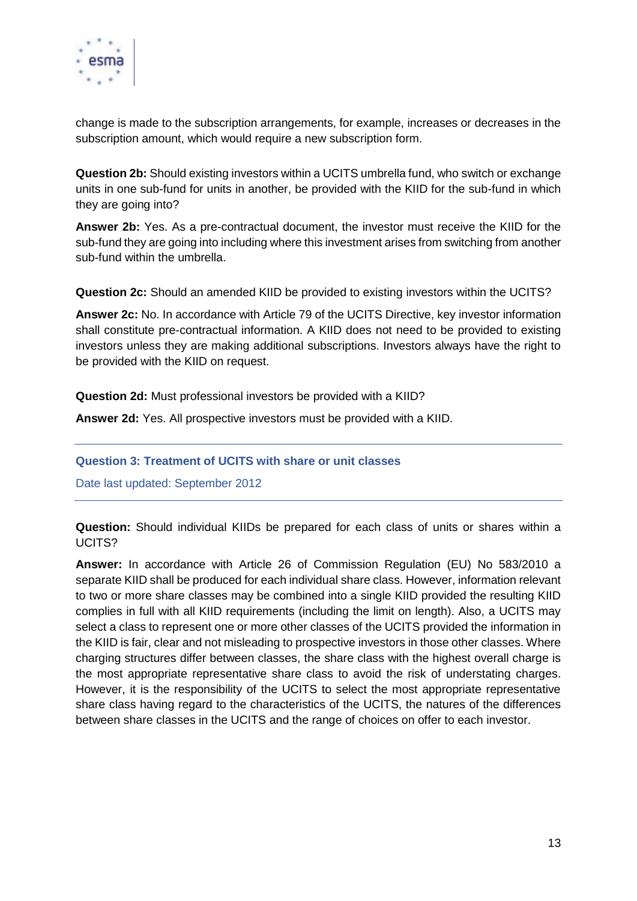

change is made to the subscription arrangements, for example, increases or decreases in the subscription amount, which would require a new subscription form.

**Question 2b:** Should existing investors within a UCITS umbrella fund, who switch or exchange units in one sub-fund for units in another, be provided with the KIID for the sub-fund in which they are going into?

**Answer 2b:** Yes. As a pre-contractual document, the investor must receive the KIID for the sub-fund they are going into including where this investment arises from switching from another sub-fund within the umbrella.

**Question 2c:** Should an amended KIID be provided to existing investors within the UCITS?

**Answer 2c:** No. In accordance with Article 79 of the UCITS Directive, key investor information shall constitute pre-contractual information. A KIID does not need to be provided to existing investors unless they are making additional subscriptions. Investors always have the right to be provided with the KIID on request.

**Question 2d:** Must professional investors be provided with a KIID?

**Answer 2d:** Yes. All prospective investors must be provided with a KIID.

<span id="page-12-0"></span>**Question 3: Treatment of UCITS with share or unit classes** 

Date last updated: September 2012

**Question:** Should individual KIIDs be prepared for each class of units or shares within a UCITS?

**Answer:** In accordance with Article 26 of Commission Regulation (EU) No 583/2010 a separate KIID shall be produced for each individual share class. However, information relevant to two or more share classes may be combined into a single KIID provided the resulting KIID complies in full with all KIID requirements (including the limit on length). Also, a UCITS may select a class to represent one or more other classes of the UCITS provided the information in the KIID is fair, clear and not misleading to prospective investors in those other classes. Where charging structures differ between classes, the share class with the highest overall charge is the most appropriate representative share class to avoid the risk of understating charges. However, it is the responsibility of the UCITS to select the most appropriate representative share class having regard to the characteristics of the UCITS, the natures of the differences between share classes in the UCITS and the range of choices on offer to each investor.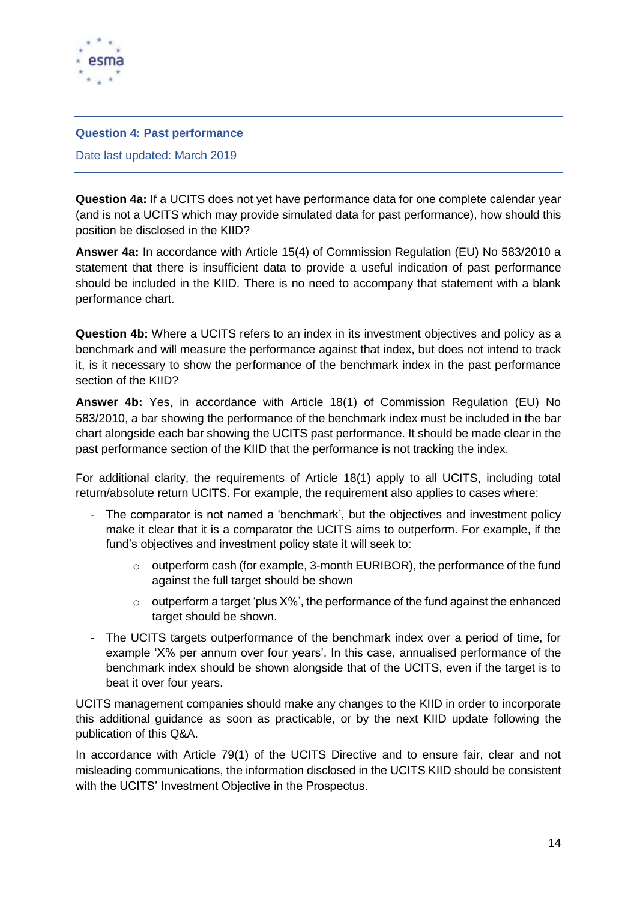

#### <span id="page-13-0"></span>**Question 4: Past performance**

Date last updated: March 2019

**Question 4a:** If a UCITS does not yet have performance data for one complete calendar year (and is not a UCITS which may provide simulated data for past performance), how should this position be disclosed in the KIID?

**Answer 4a:** In accordance with Article 15(4) of Commission Regulation (EU) No 583/2010 a statement that there is insufficient data to provide a useful indication of past performance should be included in the KIID. There is no need to accompany that statement with a blank performance chart.

**Question 4b:** Where a UCITS refers to an index in its investment objectives and policy as a benchmark and will measure the performance against that index, but does not intend to track it, is it necessary to show the performance of the benchmark index in the past performance section of the KIID?

**Answer 4b:** Yes, in accordance with Article 18(1) of Commission Regulation (EU) No 583/2010, a bar showing the performance of the benchmark index must be included in the bar chart alongside each bar showing the UCITS past performance. It should be made clear in the past performance section of the KIID that the performance is not tracking the index.

For additional clarity, the requirements of Article 18(1) apply to all UCITS, including total return/absolute return UCITS. For example, the requirement also applies to cases where:

- The comparator is not named a 'benchmark', but the objectives and investment policy make it clear that it is a comparator the UCITS aims to outperform. For example, if the fund's objectives and investment policy state it will seek to:
	- $\circ$  outperform cash (for example, 3-month EURIBOR), the performance of the fund against the full target should be shown
	- $\circ$  outperform a target 'plus X%', the performance of the fund against the enhanced target should be shown.
- The UCITS targets outperformance of the benchmark index over a period of time, for example 'X% per annum over four years'. In this case, annualised performance of the benchmark index should be shown alongside that of the UCITS, even if the target is to beat it over four years.

UCITS management companies should make any changes to the KIID in order to incorporate this additional guidance as soon as practicable, or by the next KIID update following the publication of this Q&A.

In accordance with Article 79(1) of the UCITS Directive and to ensure fair, clear and not misleading communications, the information disclosed in the UCITS KIID should be consistent with the UCITS' Investment Objective in the Prospectus.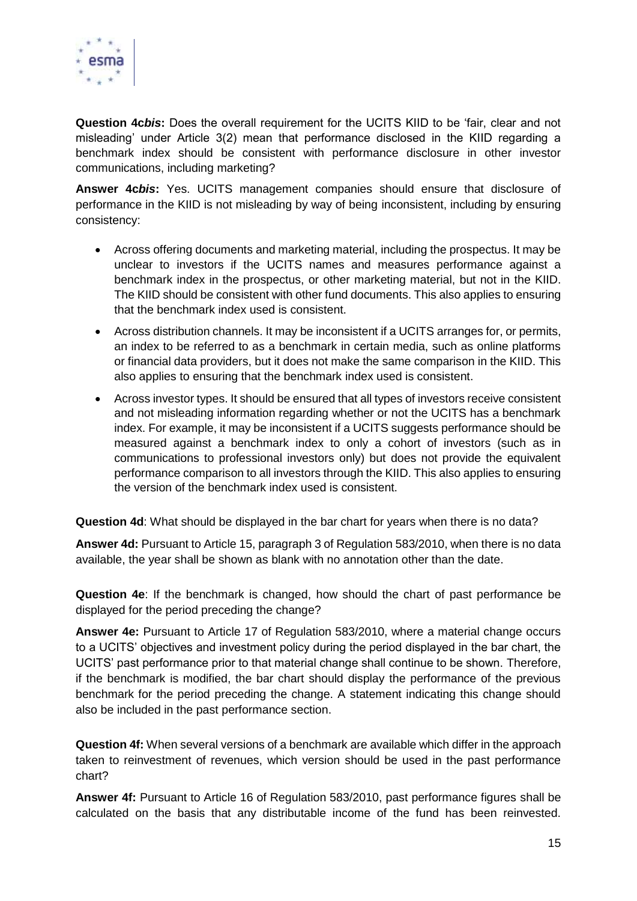

**Question 4c***bis***:** Does the overall requirement for the UCITS KIID to be 'fair, clear and not misleading' under Article 3(2) mean that performance disclosed in the KIID regarding a benchmark index should be consistent with performance disclosure in other investor communications, including marketing?

**Answer 4c***bis***:** Yes. UCITS management companies should ensure that disclosure of performance in the KIID is not misleading by way of being inconsistent, including by ensuring consistency:

- Across offering documents and marketing material, including the prospectus. It may be unclear to investors if the UCITS names and measures performance against a benchmark index in the prospectus, or other marketing material, but not in the KIID. The KIID should be consistent with other fund documents. This also applies to ensuring that the benchmark index used is consistent.
- Across distribution channels. It may be inconsistent if a UCITS arranges for, or permits, an index to be referred to as a benchmark in certain media, such as online platforms or financial data providers, but it does not make the same comparison in the KIID. This also applies to ensuring that the benchmark index used is consistent.
- Across investor types. It should be ensured that all types of investors receive consistent and not misleading information regarding whether or not the UCITS has a benchmark index. For example, it may be inconsistent if a UCITS suggests performance should be measured against a benchmark index to only a cohort of investors (such as in communications to professional investors only) but does not provide the equivalent performance comparison to all investors through the KIID. This also applies to ensuring the version of the benchmark index used is consistent.

**Question 4d**: What should be displayed in the bar chart for years when there is no data?

**Answer 4d:** Pursuant to Article 15, paragraph 3 of Regulation 583/2010, when there is no data available, the year shall be shown as blank with no annotation other than the date.

**Question 4e**: If the benchmark is changed, how should the chart of past performance be displayed for the period preceding the change?

**Answer 4e:** Pursuant to Article 17 of Regulation 583/2010, where a material change occurs to a UCITS' objectives and investment policy during the period displayed in the bar chart, the UCITS' past performance prior to that material change shall continue to be shown. Therefore, if the benchmark is modified, the bar chart should display the performance of the previous benchmark for the period preceding the change. A statement indicating this change should also be included in the past performance section.

**Question 4f:** When several versions of a benchmark are available which differ in the approach taken to reinvestment of revenues, which version should be used in the past performance chart?

**Answer 4f:** Pursuant to Article 16 of Regulation 583/2010, past performance figures shall be calculated on the basis that any distributable income of the fund has been reinvested.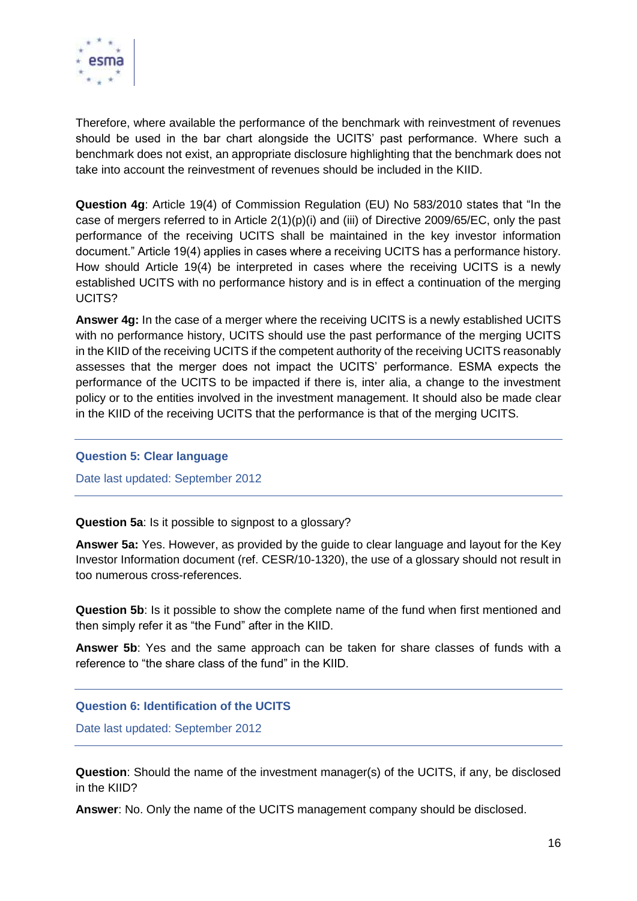

Therefore, where available the performance of the benchmark with reinvestment of revenues should be used in the bar chart alongside the UCITS' past performance. Where such a benchmark does not exist, an appropriate disclosure highlighting that the benchmark does not take into account the reinvestment of revenues should be included in the KIID.

**Question 4g**: Article 19(4) of Commission Regulation (EU) No 583/2010 states that "In the case of mergers referred to in Article  $2(1)(p)(i)$  and (iii) of Directive 2009/65/EC, only the past performance of the receiving UCITS shall be maintained in the key investor information document." Article 19(4) applies in cases where a receiving UCITS has a performance history. How should Article 19(4) be interpreted in cases where the receiving UCITS is a newly established UCITS with no performance history and is in effect a continuation of the merging UCITS?

**Answer 4g:** In the case of a merger where the receiving UCITS is a newly established UCITS with no performance history, UCITS should use the past performance of the merging UCITS in the KIID of the receiving UCITS if the competent authority of the receiving UCITS reasonably assesses that the merger does not impact the UCITS' performance. ESMA expects the performance of the UCITS to be impacted if there is, inter alia, a change to the investment policy or to the entities involved in the investment management. It should also be made clear in the KIID of the receiving UCITS that the performance is that of the merging UCITS.

#### <span id="page-15-0"></span>**Question 5: Clear language**

Date last updated: September 2012

**Question 5a**: Is it possible to signpost to a glossary?

**Answer 5a:** Yes. However, as provided by the guide to clear language and layout for the Key Investor Information document (ref. CESR/10-1320), the use of a glossary should not result in too numerous cross-references.

**Question 5b**: Is it possible to show the complete name of the fund when first mentioned and then simply refer it as "the Fund" after in the KIID.

**Answer 5b**: Yes and the same approach can be taken for share classes of funds with a reference to "the share class of the fund" in the KIID.

<span id="page-15-1"></span>**Question 6: Identification of the UCITS**

Date last updated: September 2012

**Question**: Should the name of the investment manager(s) of the UCITS, if any, be disclosed in the KIID?

**Answer**: No. Only the name of the UCITS management company should be disclosed.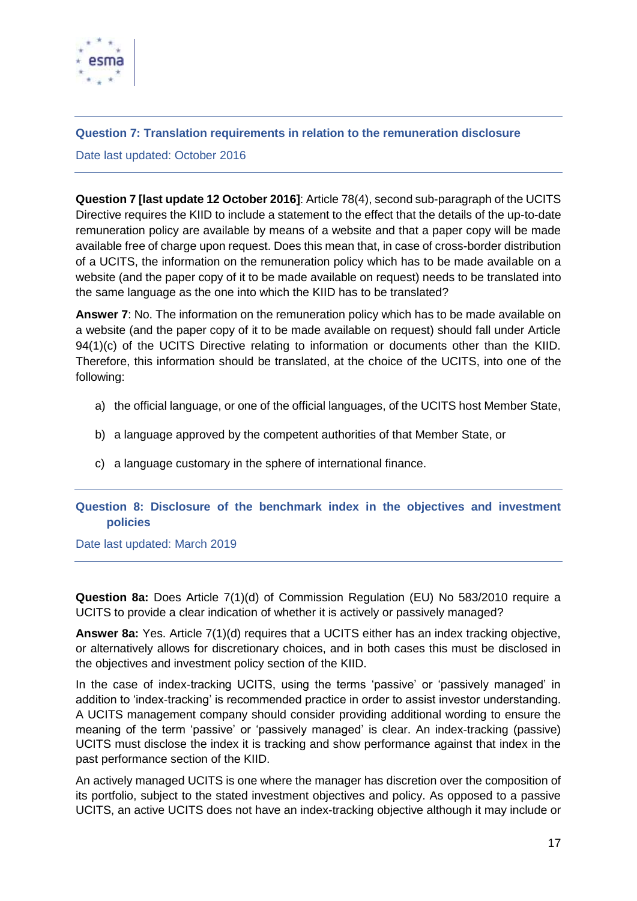

## <span id="page-16-0"></span>**Question 7: Translation requirements in relation to the remuneration disclosure**

Date last updated: October 2016

**Question 7 [last update 12 October 2016]**: Article 78(4), second sub-paragraph of the UCITS Directive requires the KIID to include a statement to the effect that the details of the up-to-date remuneration policy are available by means of a website and that a paper copy will be made available free of charge upon request. Does this mean that, in case of cross-border distribution of a UCITS, the information on the remuneration policy which has to be made available on a website (and the paper copy of it to be made available on request) needs to be translated into the same language as the one into which the KIID has to be translated?

**Answer 7**: No. The information on the remuneration policy which has to be made available on a website (and the paper copy of it to be made available on request) should fall under Article 94(1)(c) of the UCITS Directive relating to information or documents other than the KIID. Therefore, this information should be translated, at the choice of the UCITS, into one of the following:

- a) the official language, or one of the official languages, of the UCITS host Member State,
- b) a language approved by the competent authorities of that Member State, or
- c) a language customary in the sphere of international finance.

## <span id="page-16-1"></span>**Question 8: Disclosure of the benchmark index in the objectives and investment policies**

Date last updated: March 2019

**Question 8a:** Does Article 7(1)(d) of Commission Regulation (EU) No 583/2010 require a UCITS to provide a clear indication of whether it is actively or passively managed?

**Answer 8a:** Yes. Article 7(1)(d) requires that a UCITS either has an index tracking objective, or alternatively allows for discretionary choices, and in both cases this must be disclosed in the objectives and investment policy section of the KIID.

In the case of index-tracking UCITS, using the terms 'passive' or 'passively managed' in addition to 'index-tracking' is recommended practice in order to assist investor understanding. A UCITS management company should consider providing additional wording to ensure the meaning of the term 'passive' or 'passively managed' is clear. An index-tracking (passive) UCITS must disclose the index it is tracking and show performance against that index in the past performance section of the KIID.

An actively managed UCITS is one where the manager has discretion over the composition of its portfolio, subject to the stated investment objectives and policy. As opposed to a passive UCITS, an active UCITS does not have an index-tracking objective although it may include or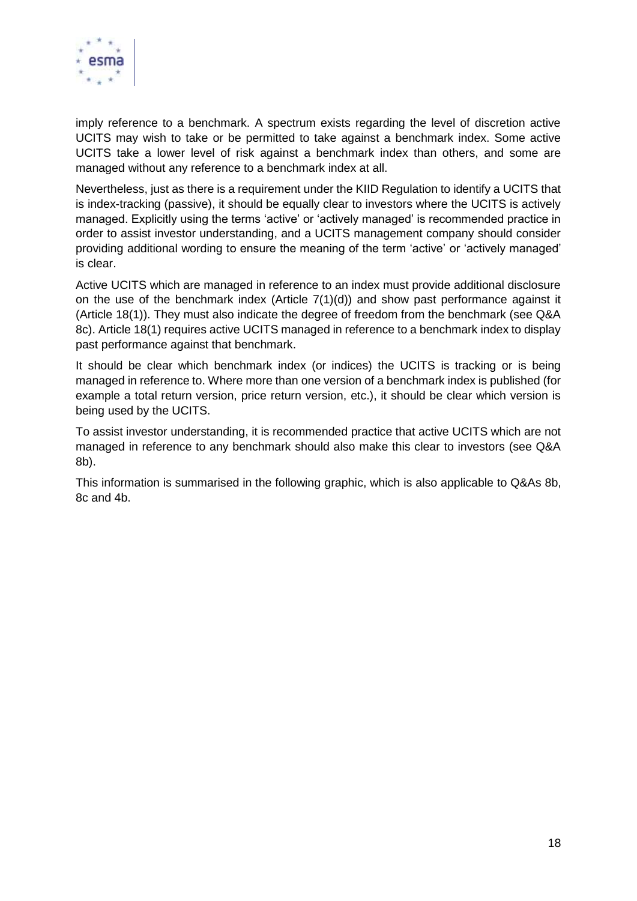

imply reference to a benchmark. A spectrum exists regarding the level of discretion active UCITS may wish to take or be permitted to take against a benchmark index. Some active UCITS take a lower level of risk against a benchmark index than others, and some are managed without any reference to a benchmark index at all.

Nevertheless, just as there is a requirement under the KIID Regulation to identify a UCITS that is index-tracking (passive), it should be equally clear to investors where the UCITS is actively managed. Explicitly using the terms 'active' or 'actively managed' is recommended practice in order to assist investor understanding, and a UCITS management company should consider providing additional wording to ensure the meaning of the term 'active' or 'actively managed' is clear.

Active UCITS which are managed in reference to an index must provide additional disclosure on the use of the benchmark index (Article 7(1)(d)) and show past performance against it (Article 18(1)). They must also indicate the degree of freedom from the benchmark (see Q&A 8c). Article 18(1) requires active UCITS managed in reference to a benchmark index to display past performance against that benchmark.

It should be clear which benchmark index (or indices) the UCITS is tracking or is being managed in reference to. Where more than one version of a benchmark index is published (for example a total return version, price return version, etc.), it should be clear which version is being used by the UCITS.

To assist investor understanding, it is recommended practice that active UCITS which are not managed in reference to any benchmark should also make this clear to investors (see Q&A 8b).

This information is summarised in the following graphic, which is also applicable to Q&As 8b, 8c and 4b.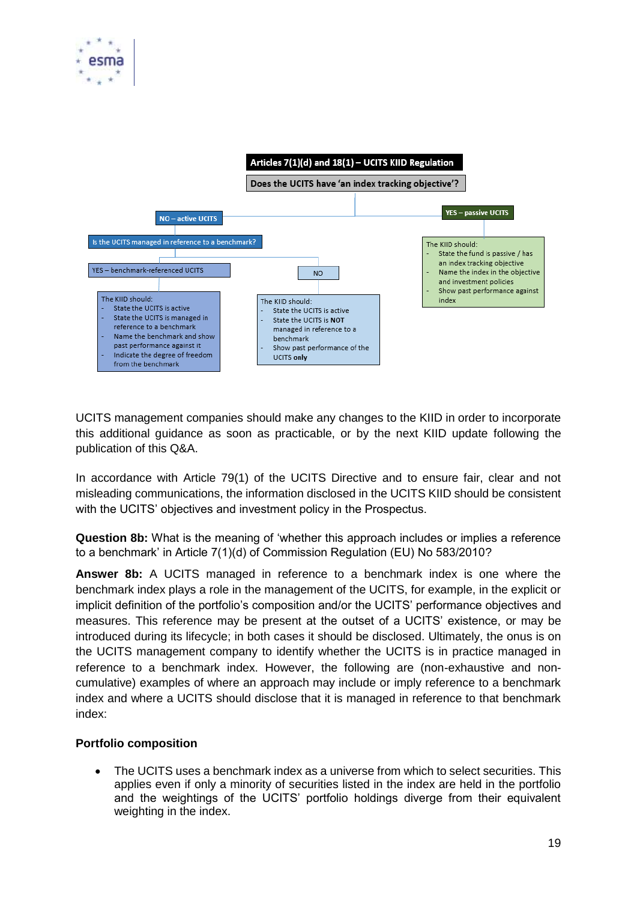



UCITS management companies should make any changes to the KIID in order to incorporate this additional guidance as soon as practicable, or by the next KIID update following the publication of this Q&A.

In accordance with Article 79(1) of the UCITS Directive and to ensure fair, clear and not misleading communications, the information disclosed in the UCITS KIID should be consistent with the UCITS' objectives and investment policy in the Prospectus.

**Question 8b:** What is the meaning of 'whether this approach includes or implies a reference to a benchmark' in Article 7(1)(d) of Commission Regulation (EU) No 583/2010?

**Answer 8b:** A UCITS managed in reference to a benchmark index is one where the benchmark index plays a role in the management of the UCITS, for example, in the explicit or implicit definition of the portfolio's composition and/or the UCITS' performance objectives and measures. This reference may be present at the outset of a UCITS' existence, or may be introduced during its lifecycle; in both cases it should be disclosed. Ultimately, the onus is on the UCITS management company to identify whether the UCITS is in practice managed in reference to a benchmark index. However, the following are (non-exhaustive and noncumulative) examples of where an approach may include or imply reference to a benchmark index and where a UCITS should disclose that it is managed in reference to that benchmark index:

## **Portfolio composition**

• The UCITS uses a benchmark index as a universe from which to select securities. This applies even if only a minority of securities listed in the index are held in the portfolio and the weightings of the UCITS' portfolio holdings diverge from their equivalent weighting in the index.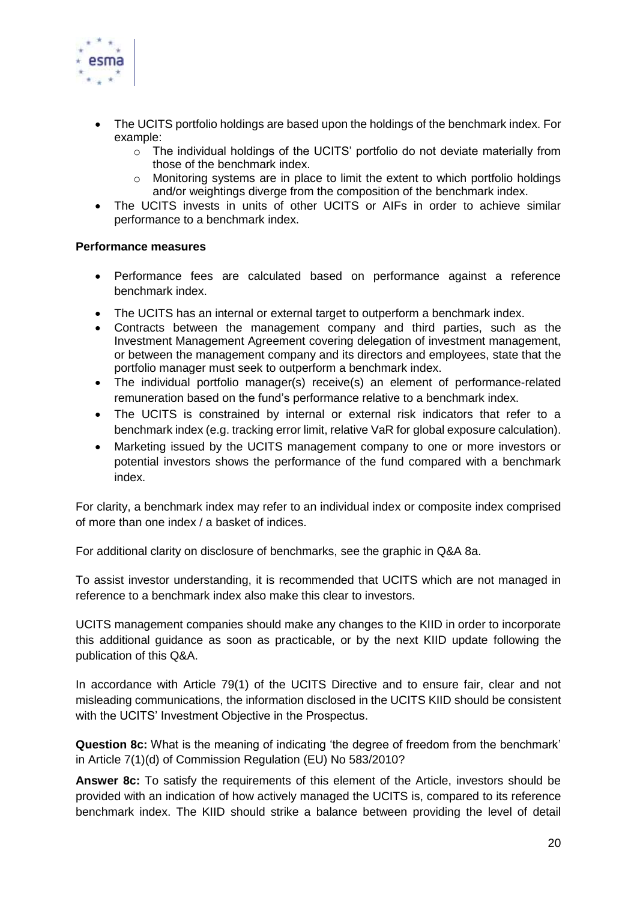

- The UCITS portfolio holdings are based upon the holdings of the benchmark index. For example:
	- o The individual holdings of the UCITS' portfolio do not deviate materially from those of the benchmark index.
	- $\circ$  Monitoring systems are in place to limit the extent to which portfolio holdings and/or weightings diverge from the composition of the benchmark index.
- The UCITS invests in units of other UCITS or AIFs in order to achieve similar performance to a benchmark index.

## **Performance measures**

- Performance fees are calculated based on performance against a reference benchmark index.
- The UCITS has an internal or external target to outperform a benchmark index.
- Contracts between the management company and third parties, such as the Investment Management Agreement covering delegation of investment management, or between the management company and its directors and employees, state that the portfolio manager must seek to outperform a benchmark index.
- The individual portfolio manager(s) receive(s) an element of performance-related remuneration based on the fund's performance relative to a benchmark index.
- The UCITS is constrained by internal or external risk indicators that refer to a benchmark index (e.g. tracking error limit, relative VaR for global exposure calculation).
- Marketing issued by the UCITS management company to one or more investors or potential investors shows the performance of the fund compared with a benchmark index.

For clarity, a benchmark index may refer to an individual index or composite index comprised of more than one index / a basket of indices.

For additional clarity on disclosure of benchmarks, see the graphic in Q&A 8a.

To assist investor understanding, it is recommended that UCITS which are not managed in reference to a benchmark index also make this clear to investors.

UCITS management companies should make any changes to the KIID in order to incorporate this additional guidance as soon as practicable, or by the next KIID update following the publication of this Q&A.

In accordance with Article 79(1) of the UCITS Directive and to ensure fair, clear and not misleading communications, the information disclosed in the UCITS KIID should be consistent with the UCITS' Investment Objective in the Prospectus.

**Question 8c:** What is the meaning of indicating 'the degree of freedom from the benchmark' in Article 7(1)(d) of Commission Regulation (EU) No 583/2010?

**Answer 8c:** To satisfy the requirements of this element of the Article, investors should be provided with an indication of how actively managed the UCITS is, compared to its reference benchmark index. The KIID should strike a balance between providing the level of detail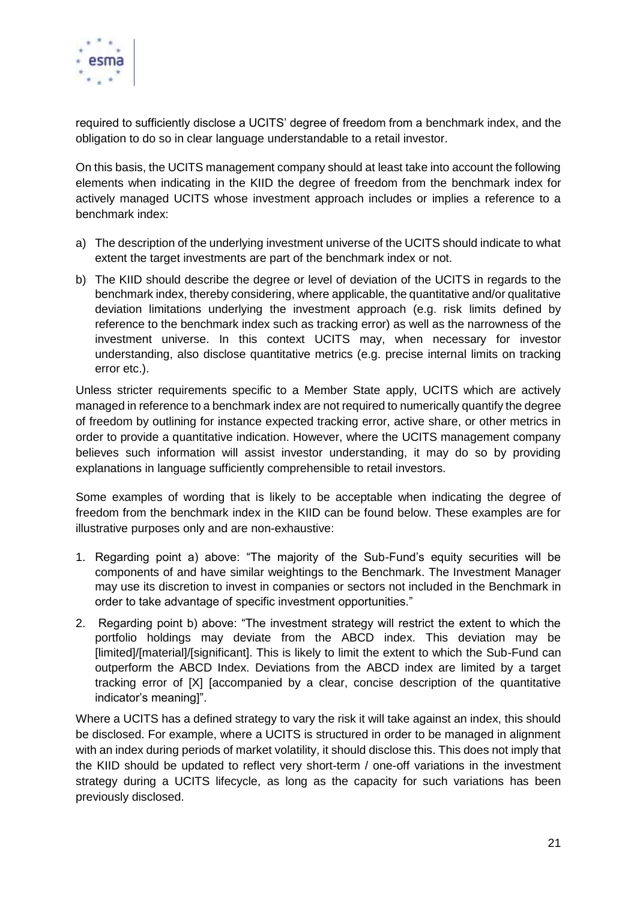

required to sufficiently disclose a UCITS' degree of freedom from a benchmark index, and the obligation to do so in clear language understandable to a retail investor.

On this basis, the UCITS management company should at least take into account the following elements when indicating in the KIID the degree of freedom from the benchmark index for actively managed UCITS whose investment approach includes or implies a reference to a benchmark index:

- a) The description of the underlying investment universe of the UCITS should indicate to what extent the target investments are part of the benchmark index or not.
- b) The KIID should describe the degree or level of deviation of the UCITS in regards to the benchmark index, thereby considering, where applicable, the quantitative and/or qualitative deviation limitations underlying the investment approach (e.g. risk limits defined by reference to the benchmark index such as tracking error) as well as the narrowness of the investment universe. In this context UCITS may, when necessary for investor understanding, also disclose quantitative metrics (e.g. precise internal limits on tracking error etc.).

Unless stricter requirements specific to a Member State apply, UCITS which are actively managed in reference to a benchmark index are not required to numerically quantify the degree of freedom by outlining for instance expected tracking error, active share, or other metrics in order to provide a quantitative indication. However, where the UCITS management company believes such information will assist investor understanding, it may do so by providing explanations in language sufficiently comprehensible to retail investors.

Some examples of wording that is likely to be acceptable when indicating the degree of freedom from the benchmark index in the KIID can be found below. These examples are for illustrative purposes only and are non-exhaustive:

- 1. Regarding point a) above: "The majority of the Sub-Fund's equity securities will be components of and have similar weightings to the Benchmark. The Investment Manager may use its discretion to invest in companies or sectors not included in the Benchmark in order to take advantage of specific investment opportunities."
- 2. Regarding point b) above: "The investment strategy will restrict the extent to which the portfolio holdings may deviate from the ABCD index. This deviation may be [limited]/[material]/[significant]. This is likely to limit the extent to which the Sub-Fund can outperform the ABCD Index. Deviations from the ABCD index are limited by a target tracking error of [X] [accompanied by a clear, concise description of the quantitative indicator's meaning]".

Where a UCITS has a defined strategy to vary the risk it will take against an index, this should be disclosed. For example, where a UCITS is structured in order to be managed in alignment with an index during periods of market volatility, it should disclose this. This does not imply that the KIID should be updated to reflect very short-term / one-off variations in the investment strategy during a UCITS lifecycle, as long as the capacity for such variations has been previously disclosed.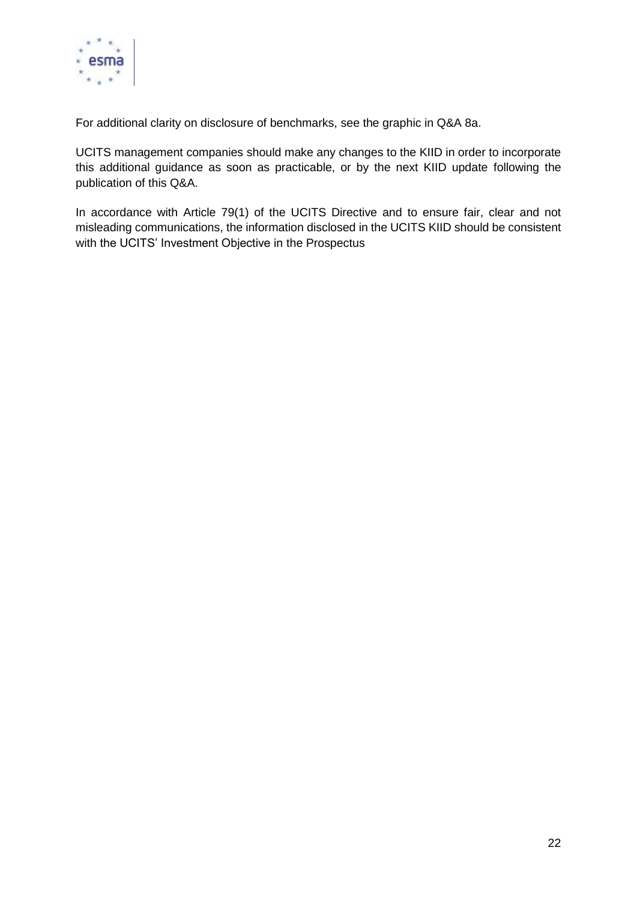

For additional clarity on disclosure of benchmarks, see the graphic in Q&A 8a.

UCITS management companies should make any changes to the KIID in order to incorporate this additional guidance as soon as practicable, or by the next KIID update following the publication of this Q&A.

In accordance with Article 79(1) of the UCITS Directive and to ensure fair, clear and not misleading communications, the information disclosed in the UCITS KIID should be consistent with the UCITS' Investment Objective in the Prospectus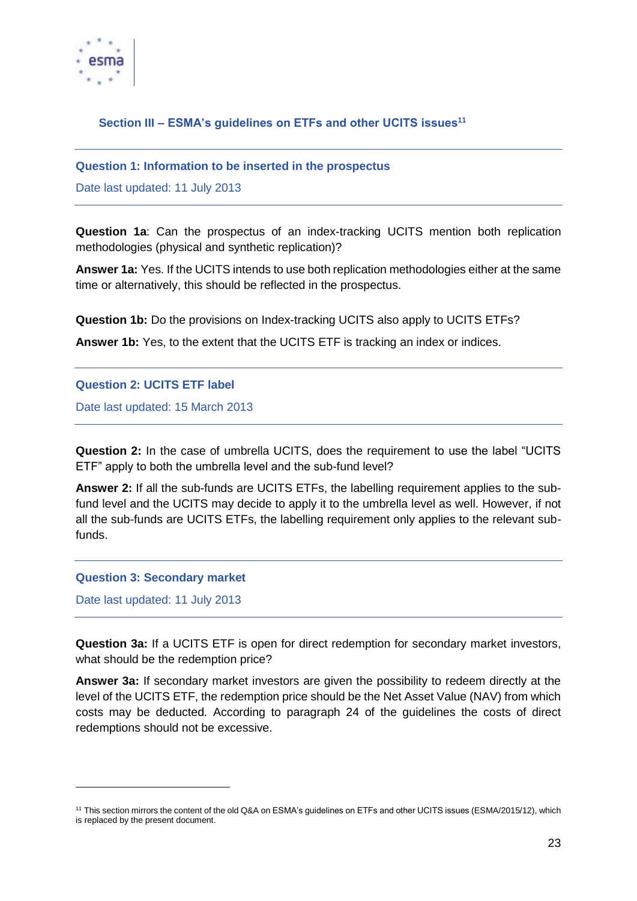

# <span id="page-22-0"></span>**Section III – ESMA's guidelines on ETFs and other UCITS issues<sup>11</sup>**

#### <span id="page-22-1"></span>**Question 1: Information to be inserted in the prospectus**

Date last updated: 11 July 2013

**Question 1a**: Can the prospectus of an index-tracking UCITS mention both replication methodologies (physical and synthetic replication)?

**Answer 1a:** Yes. If the UCITS intends to use both replication methodologies either at the same time or alternatively, this should be reflected in the prospectus.

**Question 1b:** Do the provisions on Index-tracking UCITS also apply to UCITS ETFs?

**Answer 1b:** Yes, to the extent that the UCITS ETF is tracking an index or indices.

#### <span id="page-22-2"></span>**Question 2: UCITS ETF label**

Date last updated: 15 March 2013

**Question 2:** In the case of umbrella UCITS, does the requirement to use the label "UCITS ETF" apply to both the umbrella level and the sub-fund level?

**Answer 2:** If all the sub-funds are UCITS ETFs, the labelling requirement applies to the subfund level and the UCITS may decide to apply it to the umbrella level as well. However, if not all the sub-funds are UCITS ETFs, the labelling requirement only applies to the relevant subfunds.

#### <span id="page-22-3"></span>**Question 3: Secondary market**

Date last updated: 11 July 2013

1

**Question 3a:** If a UCITS ETF is open for direct redemption for secondary market investors, what should be the redemption price?

**Answer 3a:** If secondary market investors are given the possibility to redeem directly at the level of the UCITS ETF, the redemption price should be the Net Asset Value (NAV) from which costs may be deducted. According to paragraph 24 of the guidelines the costs of direct redemptions should not be excessive.

<sup>&</sup>lt;sup>11</sup> This section mirrors the content of the old Q&A on ESMA's guidelines on ETFs and other UCITS issues (ESMA/2015/12), which is replaced by the present document.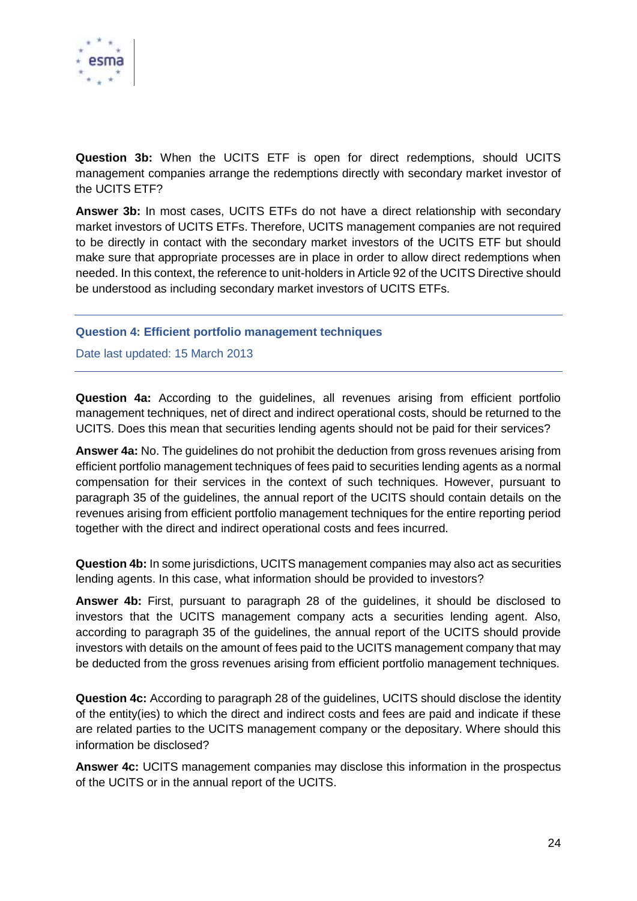

**Question 3b:** When the UCITS ETF is open for direct redemptions, should UCITS management companies arrange the redemptions directly with secondary market investor of the UCITS ETF?

**Answer 3b:** In most cases, UCITS ETFs do not have a direct relationship with secondary market investors of UCITS ETFs. Therefore, UCITS management companies are not required to be directly in contact with the secondary market investors of the UCITS ETF but should make sure that appropriate processes are in place in order to allow direct redemptions when needed. In this context, the reference to unit-holders in Article 92 of the UCITS Directive should be understood as including secondary market investors of UCITS ETFs.

## <span id="page-23-0"></span>**Question 4: Efficient portfolio management techniques**

Date last updated: 15 March 2013

**Question 4a:** According to the guidelines, all revenues arising from efficient portfolio management techniques, net of direct and indirect operational costs, should be returned to the UCITS. Does this mean that securities lending agents should not be paid for their services?

**Answer 4a:** No. The guidelines do not prohibit the deduction from gross revenues arising from efficient portfolio management techniques of fees paid to securities lending agents as a normal compensation for their services in the context of such techniques. However, pursuant to paragraph 35 of the guidelines, the annual report of the UCITS should contain details on the revenues arising from efficient portfolio management techniques for the entire reporting period together with the direct and indirect operational costs and fees incurred.

**Question 4b:** In some jurisdictions, UCITS management companies may also act as securities lending agents. In this case, what information should be provided to investors?

**Answer 4b:** First, pursuant to paragraph 28 of the guidelines, it should be disclosed to investors that the UCITS management company acts a securities lending agent. Also, according to paragraph 35 of the guidelines, the annual report of the UCITS should provide investors with details on the amount of fees paid to the UCITS management company that may be deducted from the gross revenues arising from efficient portfolio management techniques.

**Question 4c:** According to paragraph 28 of the guidelines, UCITS should disclose the identity of the entity(ies) to which the direct and indirect costs and fees are paid and indicate if these are related parties to the UCITS management company or the depositary. Where should this information be disclosed?

**Answer 4c:** UCITS management companies may disclose this information in the prospectus of the UCITS or in the annual report of the UCITS.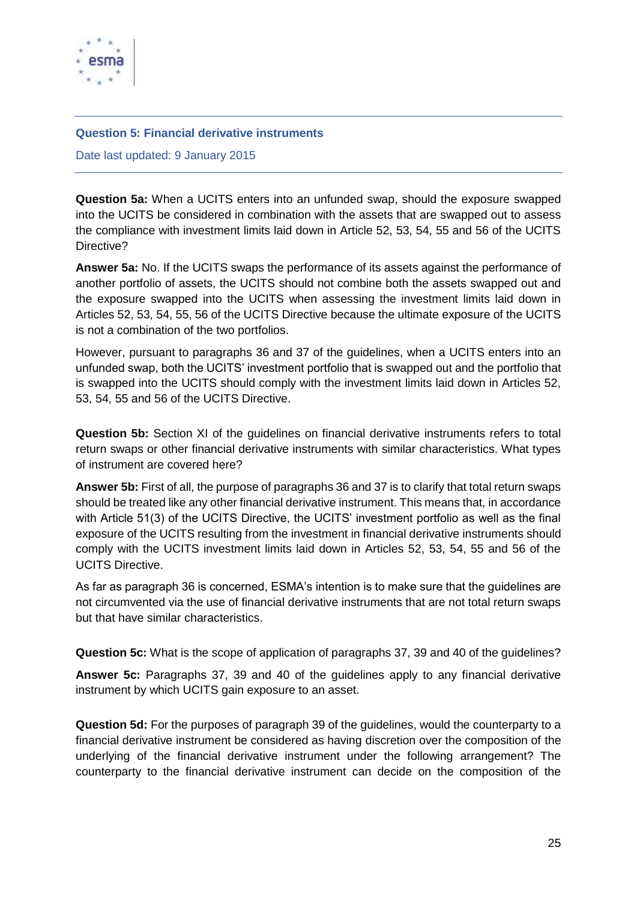

#### <span id="page-24-0"></span>**Question 5: Financial derivative instruments**

Date last updated: 9 January 2015

**Question 5a:** When a UCITS enters into an unfunded swap, should the exposure swapped into the UCITS be considered in combination with the assets that are swapped out to assess the compliance with investment limits laid down in Article 52, 53, 54, 55 and 56 of the UCITS Directive?

**Answer 5a:** No. If the UCITS swaps the performance of its assets against the performance of another portfolio of assets, the UCITS should not combine both the assets swapped out and the exposure swapped into the UCITS when assessing the investment limits laid down in Articles 52, 53, 54, 55, 56 of the UCITS Directive because the ultimate exposure of the UCITS is not a combination of the two portfolios.

However, pursuant to paragraphs 36 and 37 of the guidelines, when a UCITS enters into an unfunded swap, both the UCITS' investment portfolio that is swapped out and the portfolio that is swapped into the UCITS should comply with the investment limits laid down in Articles 52, 53, 54, 55 and 56 of the UCITS Directive.

**Question 5b:** Section XI of the guidelines on financial derivative instruments refers to total return swaps or other financial derivative instruments with similar characteristics. What types of instrument are covered here?

**Answer 5b:** First of all, the purpose of paragraphs 36 and 37 is to clarify that total return swaps should be treated like any other financial derivative instrument. This means that, in accordance with Article 51(3) of the UCITS Directive, the UCITS' investment portfolio as well as the final exposure of the UCITS resulting from the investment in financial derivative instruments should comply with the UCITS investment limits laid down in Articles 52, 53, 54, 55 and 56 of the UCITS Directive.

As far as paragraph 36 is concerned, ESMA's intention is to make sure that the guidelines are not circumvented via the use of financial derivative instruments that are not total return swaps but that have similar characteristics.

**Question 5c:** What is the scope of application of paragraphs 37, 39 and 40 of the guidelines?

**Answer 5c:** Paragraphs 37, 39 and 40 of the guidelines apply to any financial derivative instrument by which UCITS gain exposure to an asset.

**Question 5d:** For the purposes of paragraph 39 of the guidelines, would the counterparty to a financial derivative instrument be considered as having discretion over the composition of the underlying of the financial derivative instrument under the following arrangement? The counterparty to the financial derivative instrument can decide on the composition of the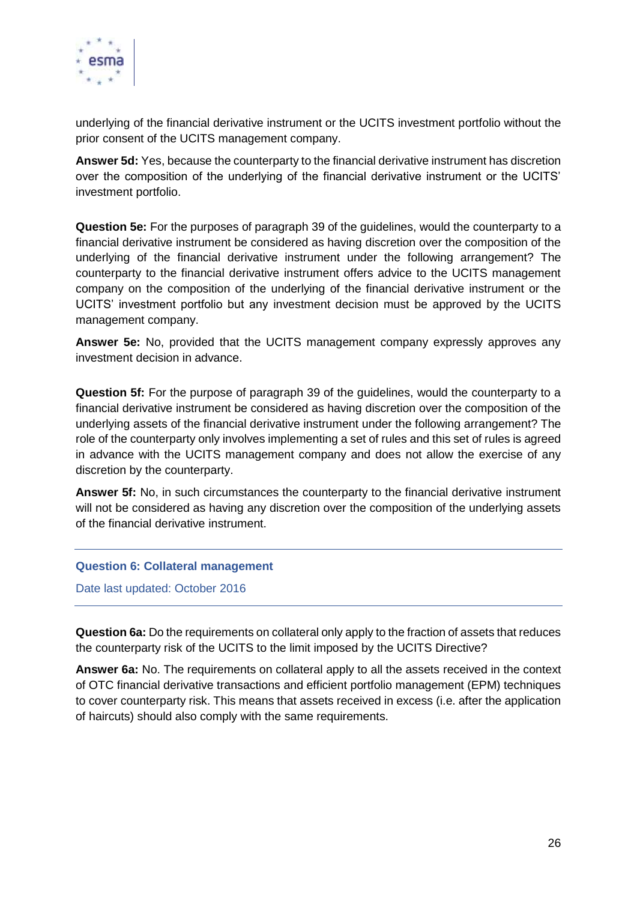

underlying of the financial derivative instrument or the UCITS investment portfolio without the prior consent of the UCITS management company.

**Answer 5d:** Yes, because the counterparty to the financial derivative instrument has discretion over the composition of the underlying of the financial derivative instrument or the UCITS' investment portfolio.

**Question 5e:** For the purposes of paragraph 39 of the guidelines, would the counterparty to a financial derivative instrument be considered as having discretion over the composition of the underlying of the financial derivative instrument under the following arrangement? The counterparty to the financial derivative instrument offers advice to the UCITS management company on the composition of the underlying of the financial derivative instrument or the UCITS' investment portfolio but any investment decision must be approved by the UCITS management company.

**Answer 5e:** No, provided that the UCITS management company expressly approves any investment decision in advance.

**Question 5f:** For the purpose of paragraph 39 of the guidelines, would the counterparty to a financial derivative instrument be considered as having discretion over the composition of the underlying assets of the financial derivative instrument under the following arrangement? The role of the counterparty only involves implementing a set of rules and this set of rules is agreed in advance with the UCITS management company and does not allow the exercise of any discretion by the counterparty.

**Answer 5f:** No, in such circumstances the counterparty to the financial derivative instrument will not be considered as having any discretion over the composition of the underlying assets of the financial derivative instrument.

## <span id="page-25-0"></span>**Question 6: Collateral management**

Date last updated: October 2016

**Question 6a:** Do the requirements on collateral only apply to the fraction of assets that reduces the counterparty risk of the UCITS to the limit imposed by the UCITS Directive?

**Answer 6a:** No. The requirements on collateral apply to all the assets received in the context of OTC financial derivative transactions and efficient portfolio management (EPM) techniques to cover counterparty risk. This means that assets received in excess (i.e. after the application of haircuts) should also comply with the same requirements.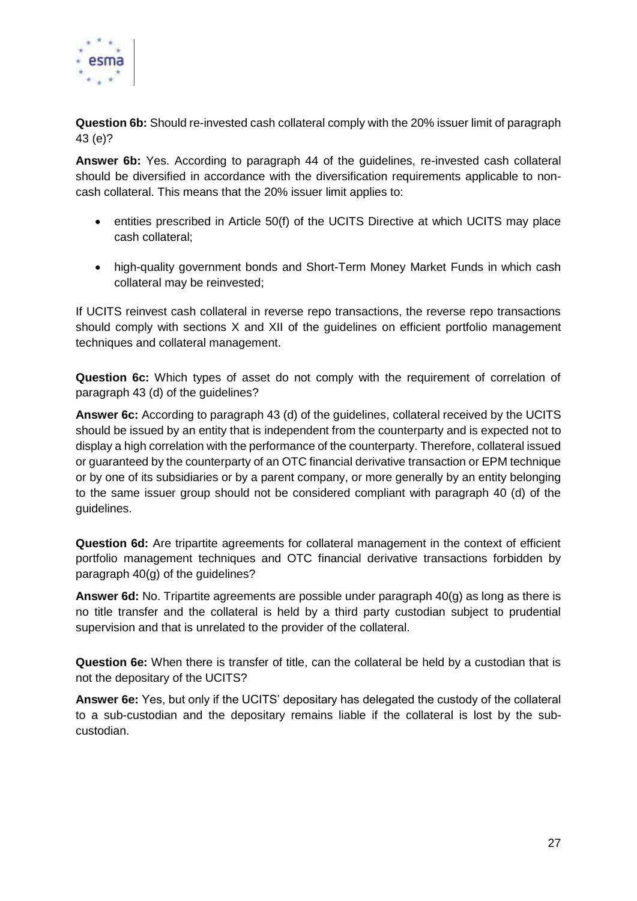

**Question 6b:** Should re-invested cash collateral comply with the 20% issuer limit of paragraph 43 (e)?

**Answer 6b:** Yes. According to paragraph 44 of the guidelines, re-invested cash collateral should be diversified in accordance with the diversification requirements applicable to noncash collateral. This means that the 20% issuer limit applies to:

- entities prescribed in Article 50(f) of the UCITS Directive at which UCITS may place cash collateral;
- high-quality government bonds and Short-Term Money Market Funds in which cash collateral may be reinvested;

If UCITS reinvest cash collateral in reverse repo transactions, the reverse repo transactions should comply with sections X and XII of the guidelines on efficient portfolio management techniques and collateral management.

**Question 6c:** Which types of asset do not comply with the requirement of correlation of paragraph 43 (d) of the guidelines?

**Answer 6c:** According to paragraph 43 (d) of the guidelines, collateral received by the UCITS should be issued by an entity that is independent from the counterparty and is expected not to display a high correlation with the performance of the counterparty. Therefore, collateral issued or guaranteed by the counterparty of an OTC financial derivative transaction or EPM technique or by one of its subsidiaries or by a parent company, or more generally by an entity belonging to the same issuer group should not be considered compliant with paragraph 40 (d) of the guidelines.

**Question 6d:** Are tripartite agreements for collateral management in the context of efficient portfolio management techniques and OTC financial derivative transactions forbidden by paragraph 40(g) of the guidelines?

**Answer 6d:** No. Tripartite agreements are possible under paragraph 40(g) as long as there is no title transfer and the collateral is held by a third party custodian subject to prudential supervision and that is unrelated to the provider of the collateral.

**Question 6e:** When there is transfer of title, can the collateral be held by a custodian that is not the depositary of the UCITS?

**Answer 6e:** Yes, but only if the UCITS' depositary has delegated the custody of the collateral to a sub-custodian and the depositary remains liable if the collateral is lost by the subcustodian.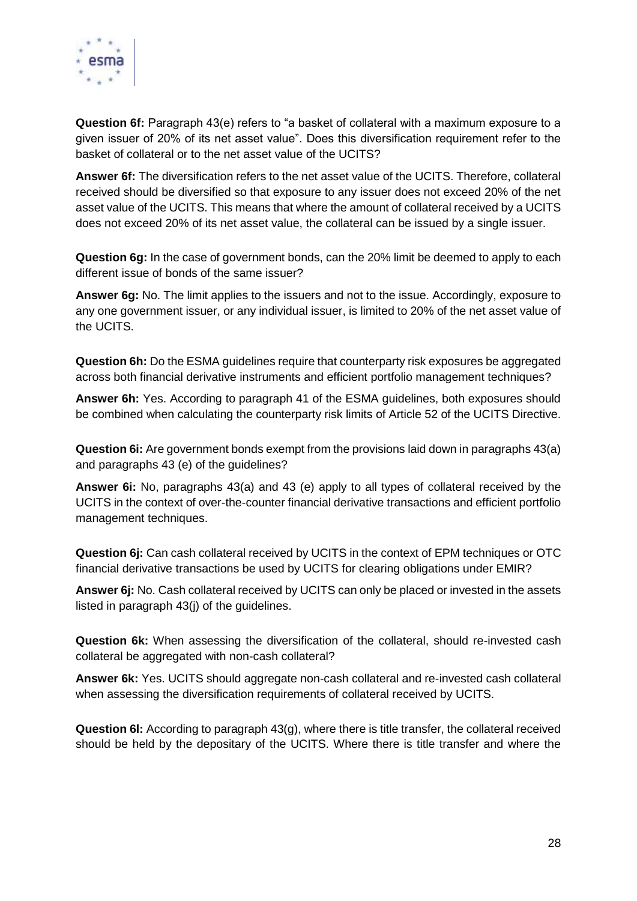

**Question 6f:** Paragraph 43(e) refers to "a basket of collateral with a maximum exposure to a given issuer of 20% of its net asset value". Does this diversification requirement refer to the basket of collateral or to the net asset value of the UCITS?

**Answer 6f:** The diversification refers to the net asset value of the UCITS. Therefore, collateral received should be diversified so that exposure to any issuer does not exceed 20% of the net asset value of the UCITS. This means that where the amount of collateral received by a UCITS does not exceed 20% of its net asset value, the collateral can be issued by a single issuer.

**Question 6g:** In the case of government bonds, can the 20% limit be deemed to apply to each different issue of bonds of the same issuer?

**Answer 6g:** No. The limit applies to the issuers and not to the issue. Accordingly, exposure to any one government issuer, or any individual issuer, is limited to 20% of the net asset value of the UCITS.

**Question 6h:** Do the ESMA guidelines require that counterparty risk exposures be aggregated across both financial derivative instruments and efficient portfolio management techniques?

**Answer 6h:** Yes. According to paragraph 41 of the ESMA guidelines, both exposures should be combined when calculating the counterparty risk limits of Article 52 of the UCITS Directive.

**Question 6i:** Are government bonds exempt from the provisions laid down in paragraphs 43(a) and paragraphs 43 (e) of the guidelines?

**Answer 6i:** No, paragraphs 43(a) and 43 (e) apply to all types of collateral received by the UCITS in the context of over-the-counter financial derivative transactions and efficient portfolio management techniques.

**Question 6j:** Can cash collateral received by UCITS in the context of EPM techniques or OTC financial derivative transactions be used by UCITS for clearing obligations under EMIR?

**Answer 6j:** No. Cash collateral received by UCITS can only be placed or invested in the assets listed in paragraph 43(j) of the guidelines.

**Question 6k:** When assessing the diversification of the collateral, should re-invested cash collateral be aggregated with non-cash collateral?

**Answer 6k:** Yes. UCITS should aggregate non-cash collateral and re-invested cash collateral when assessing the diversification requirements of collateral received by UCITS.

**Question 6l:** According to paragraph 43(g), where there is title transfer, the collateral received should be held by the depositary of the UCITS. Where there is title transfer and where the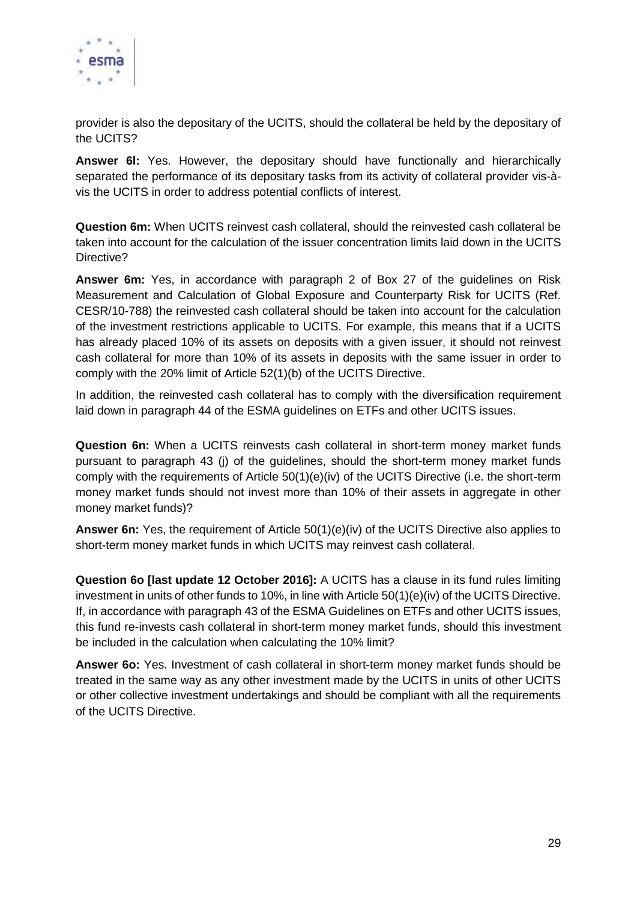

provider is also the depositary of the UCITS, should the collateral be held by the depositary of the UCITS?

**Answer 6l:** Yes. However, the depositary should have functionally and hierarchically separated the performance of its depositary tasks from its activity of collateral provider vis-àvis the UCITS in order to address potential conflicts of interest.

**Question 6m:** When UCITS reinvest cash collateral, should the reinvested cash collateral be taken into account for the calculation of the issuer concentration limits laid down in the UCITS Directive?

**Answer 6m:** Yes, in accordance with paragraph 2 of Box 27 of the guidelines on Risk Measurement and Calculation of Global Exposure and Counterparty Risk for UCITS (Ref. CESR/10-788) the reinvested cash collateral should be taken into account for the calculation of the investment restrictions applicable to UCITS. For example, this means that if a UCITS has already placed 10% of its assets on deposits with a given issuer, it should not reinvest cash collateral for more than 10% of its assets in deposits with the same issuer in order to comply with the 20% limit of Article 52(1)(b) of the UCITS Directive.

In addition, the reinvested cash collateral has to comply with the diversification requirement laid down in paragraph 44 of the ESMA guidelines on ETFs and other UCITS issues.

**Question 6n:** When a UCITS reinvests cash collateral in short-term money market funds pursuant to paragraph 43 (j) of the guidelines, should the short-term money market funds comply with the requirements of Article 50(1)(e)(iv) of the UCITS Directive (i.e. the short-term money market funds should not invest more than 10% of their assets in aggregate in other money market funds)?

**Answer 6n:** Yes, the requirement of Article 50(1)(e)(iv) of the UCITS Directive also applies to short-term money market funds in which UCITS may reinvest cash collateral.

**Question 6o [last update 12 October 2016]:** A UCITS has a clause in its fund rules limiting investment in units of other funds to 10%, in line with Article 50(1)(e)(iv) of the UCITS Directive. If, in accordance with paragraph 43 of the ESMA Guidelines on ETFs and other UCITS issues, this fund re-invests cash collateral in short-term money market funds, should this investment be included in the calculation when calculating the 10% limit?

**Answer 6o:** Yes. Investment of cash collateral in short-term money market funds should be treated in the same way as any other investment made by the UCITS in units of other UCITS or other collective investment undertakings and should be compliant with all the requirements of the UCITS Directive.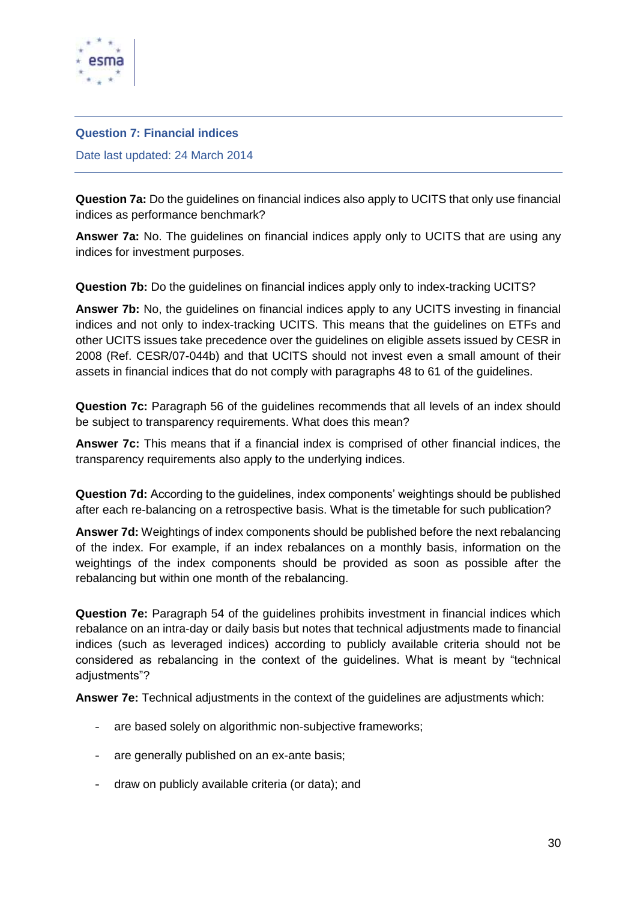

#### <span id="page-29-0"></span>**Question 7: Financial indices**

Date last updated: 24 March 2014

**Question 7a:** Do the guidelines on financial indices also apply to UCITS that only use financial indices as performance benchmark?

**Answer 7a:** No. The guidelines on financial indices apply only to UCITS that are using any indices for investment purposes.

**Question 7b:** Do the guidelines on financial indices apply only to index-tracking UCITS?

**Answer 7b:** No, the guidelines on financial indices apply to any UCITS investing in financial indices and not only to index-tracking UCITS. This means that the guidelines on ETFs and other UCITS issues take precedence over the guidelines on eligible assets issued by CESR in 2008 (Ref. CESR/07-044b) and that UCITS should not invest even a small amount of their assets in financial indices that do not comply with paragraphs 48 to 61 of the guidelines.

**Question 7c:** Paragraph 56 of the guidelines recommends that all levels of an index should be subject to transparency requirements. What does this mean?

**Answer 7c:** This means that if a financial index is comprised of other financial indices, the transparency requirements also apply to the underlying indices.

**Question 7d:** According to the guidelines, index components' weightings should be published after each re-balancing on a retrospective basis. What is the timetable for such publication?

**Answer 7d:** Weightings of index components should be published before the next rebalancing of the index. For example, if an index rebalances on a monthly basis, information on the weightings of the index components should be provided as soon as possible after the rebalancing but within one month of the rebalancing.

**Question 7e:** Paragraph 54 of the guidelines prohibits investment in financial indices which rebalance on an intra-day or daily basis but notes that technical adjustments made to financial indices (such as leveraged indices) according to publicly available criteria should not be considered as rebalancing in the context of the guidelines. What is meant by "technical adjustments"?

**Answer 7e:** Technical adjustments in the context of the guidelines are adjustments which:

- are based solely on algorithmic non-subjective frameworks;
- are generally published on an ex-ante basis;
- draw on publicly available criteria (or data); and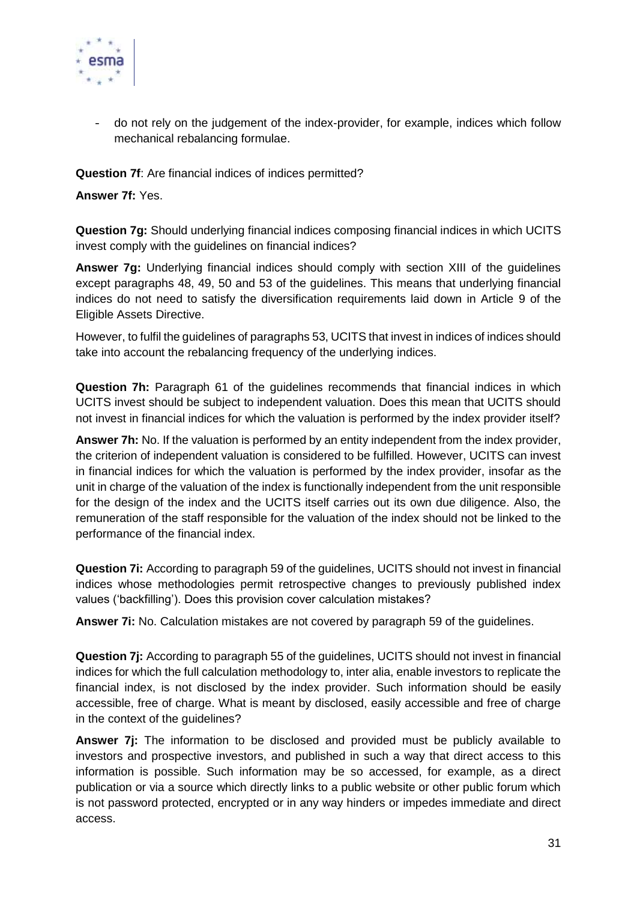

- do not rely on the judgement of the index-provider, for example, indices which follow mechanical rebalancing formulae.

**Question 7f**: Are financial indices of indices permitted?

**Answer 7f:** Yes.

**Question 7g:** Should underlying financial indices composing financial indices in which UCITS invest comply with the guidelines on financial indices?

**Answer 7g:** Underlying financial indices should comply with section XIII of the guidelines except paragraphs 48, 49, 50 and 53 of the guidelines. This means that underlying financial indices do not need to satisfy the diversification requirements laid down in Article 9 of the Eligible Assets Directive.

However, to fulfil the guidelines of paragraphs 53, UCITS that invest in indices of indices should take into account the rebalancing frequency of the underlying indices.

**Question 7h:** Paragraph 61 of the guidelines recommends that financial indices in which UCITS invest should be subject to independent valuation. Does this mean that UCITS should not invest in financial indices for which the valuation is performed by the index provider itself?

**Answer 7h:** No. If the valuation is performed by an entity independent from the index provider, the criterion of independent valuation is considered to be fulfilled. However, UCITS can invest in financial indices for which the valuation is performed by the index provider, insofar as the unit in charge of the valuation of the index is functionally independent from the unit responsible for the design of the index and the UCITS itself carries out its own due diligence. Also, the remuneration of the staff responsible for the valuation of the index should not be linked to the performance of the financial index.

**Question 7i:** According to paragraph 59 of the guidelines, UCITS should not invest in financial indices whose methodologies permit retrospective changes to previously published index values ('backfilling'). Does this provision cover calculation mistakes?

**Answer 7i:** No. Calculation mistakes are not covered by paragraph 59 of the guidelines.

**Question 7j:** According to paragraph 55 of the guidelines, UCITS should not invest in financial indices for which the full calculation methodology to, inter alia, enable investors to replicate the financial index, is not disclosed by the index provider. Such information should be easily accessible, free of charge. What is meant by disclosed, easily accessible and free of charge in the context of the guidelines?

**Answer 7j:** The information to be disclosed and provided must be publicly available to investors and prospective investors, and published in such a way that direct access to this information is possible. Such information may be so accessed, for example, as a direct publication or via a source which directly links to a public website or other public forum which is not password protected, encrypted or in any way hinders or impedes immediate and direct access.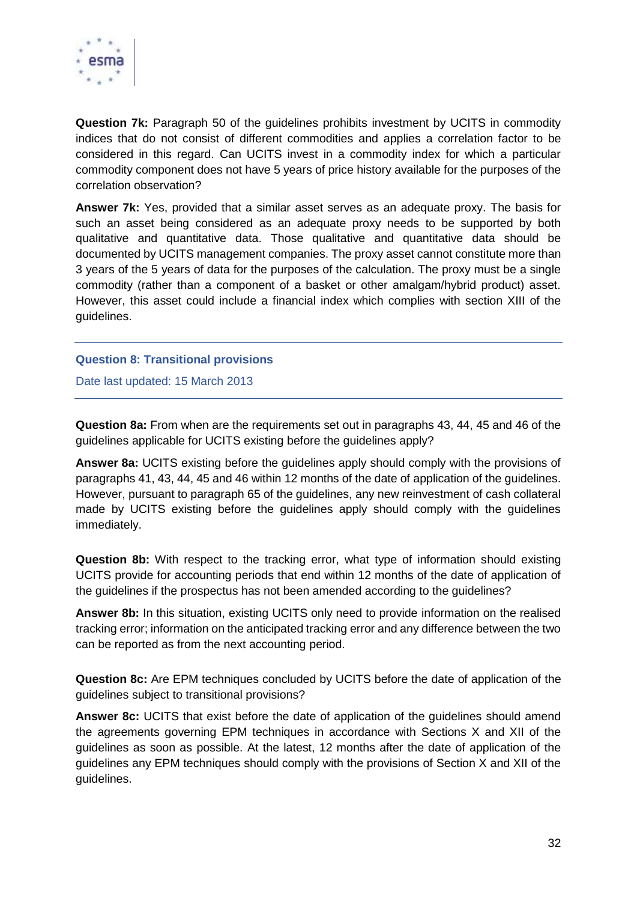

**Question 7k:** Paragraph 50 of the guidelines prohibits investment by UCITS in commodity indices that do not consist of different commodities and applies a correlation factor to be considered in this regard. Can UCITS invest in a commodity index for which a particular commodity component does not have 5 years of price history available for the purposes of the correlation observation?

**Answer 7k:** Yes, provided that a similar asset serves as an adequate proxy. The basis for such an asset being considered as an adequate proxy needs to be supported by both qualitative and quantitative data. Those qualitative and quantitative data should be documented by UCITS management companies. The proxy asset cannot constitute more than 3 years of the 5 years of data for the purposes of the calculation. The proxy must be a single commodity (rather than a component of a basket or other amalgam/hybrid product) asset. However, this asset could include a financial index which complies with section XIII of the guidelines.

## <span id="page-31-0"></span>**Question 8: Transitional provisions**

Date last updated: 15 March 2013

**Question 8a:** From when are the requirements set out in paragraphs 43, 44, 45 and 46 of the guidelines applicable for UCITS existing before the guidelines apply?

**Answer 8a:** UCITS existing before the guidelines apply should comply with the provisions of paragraphs 41, 43, 44, 45 and 46 within 12 months of the date of application of the guidelines. However, pursuant to paragraph 65 of the guidelines, any new reinvestment of cash collateral made by UCITS existing before the guidelines apply should comply with the guidelines immediately.

**Question 8b:** With respect to the tracking error, what type of information should existing UCITS provide for accounting periods that end within 12 months of the date of application of the guidelines if the prospectus has not been amended according to the guidelines?

**Answer 8b:** In this situation, existing UCITS only need to provide information on the realised tracking error; information on the anticipated tracking error and any difference between the two can be reported as from the next accounting period.

**Question 8c:** Are EPM techniques concluded by UCITS before the date of application of the guidelines subject to transitional provisions?

**Answer 8c:** UCITS that exist before the date of application of the guidelines should amend the agreements governing EPM techniques in accordance with Sections X and XII of the guidelines as soon as possible. At the latest, 12 months after the date of application of the guidelines any EPM techniques should comply with the provisions of Section X and XII of the guidelines.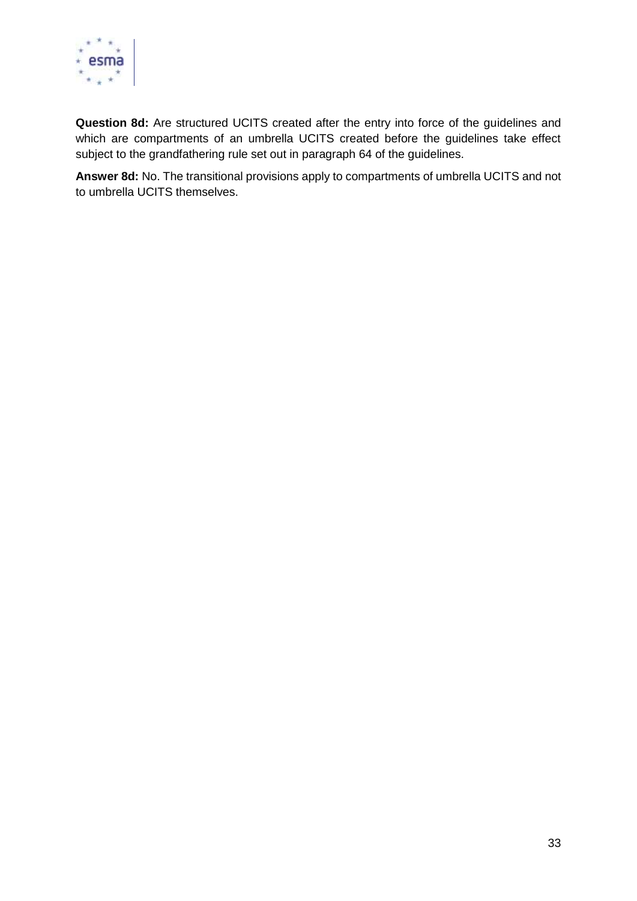

**Question 8d:** Are structured UCITS created after the entry into force of the guidelines and which are compartments of an umbrella UCITS created before the guidelines take effect subject to the grandfathering rule set out in paragraph 64 of the guidelines.

**Answer 8d:** No. The transitional provisions apply to compartments of umbrella UCITS and not to umbrella UCITS themselves.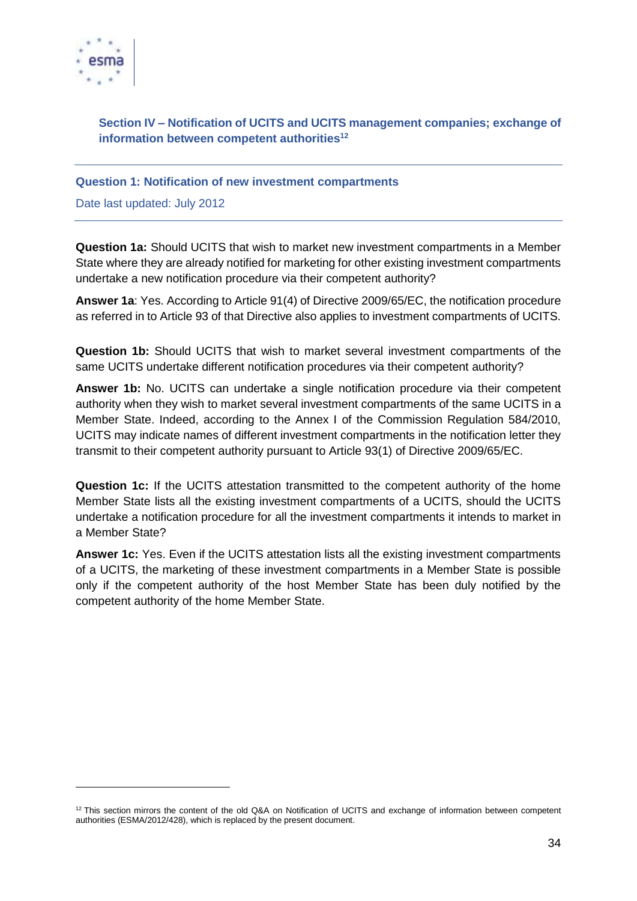

1

# <span id="page-33-0"></span>**Section IV – Notification of UCITS and UCITS management companies; exchange of information between competent authorities<sup>12</sup>**

## <span id="page-33-1"></span>**Question 1: Notification of new investment compartments**

Date last updated: July 2012

**Question 1a:** Should UCITS that wish to market new investment compartments in a Member State where they are already notified for marketing for other existing investment compartments undertake a new notification procedure via their competent authority?

**Answer 1a**: Yes. According to Article 91(4) of Directive 2009/65/EC, the notification procedure as referred in to Article 93 of that Directive also applies to investment compartments of UCITS.

**Question 1b:** Should UCITS that wish to market several investment compartments of the same UCITS undertake different notification procedures via their competent authority?

**Answer 1b:** No. UCITS can undertake a single notification procedure via their competent authority when they wish to market several investment compartments of the same UCITS in a Member State. Indeed, according to the Annex I of the Commission Regulation 584/2010, UCITS may indicate names of different investment compartments in the notification letter they transmit to their competent authority pursuant to Article 93(1) of Directive 2009/65/EC.

**Question 1c:** If the UCITS attestation transmitted to the competent authority of the home Member State lists all the existing investment compartments of a UCITS, should the UCITS undertake a notification procedure for all the investment compartments it intends to market in a Member State?

**Answer 1c:** Yes. Even if the UCITS attestation lists all the existing investment compartments of a UCITS, the marketing of these investment compartments in a Member State is possible only if the competent authority of the host Member State has been duly notified by the competent authority of the home Member State.

<sup>&</sup>lt;sup>12</sup> This section mirrors the content of the old Q&A on Notification of UCITS and exchange of information between competent authorities (ESMA/2012/428), which is replaced by the present document.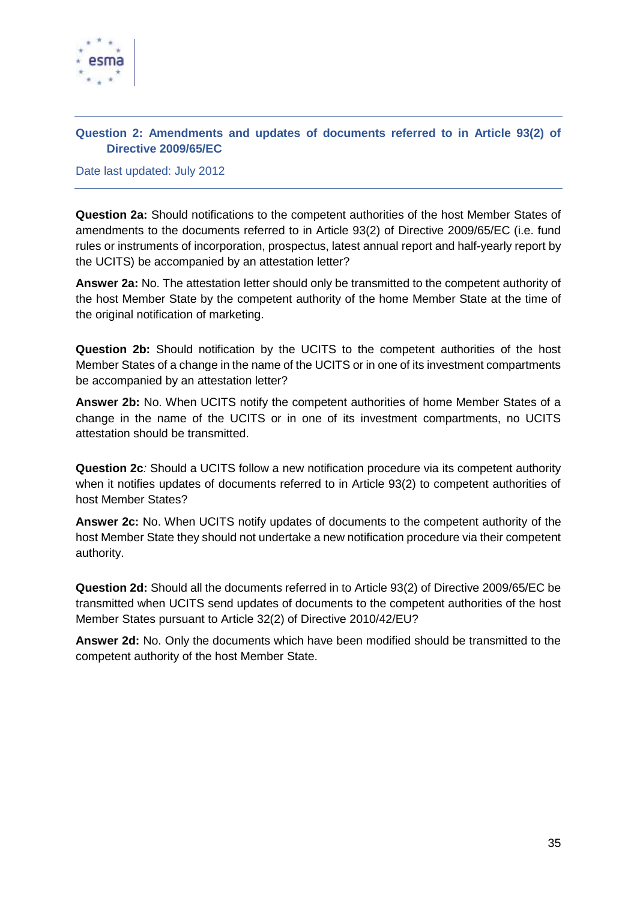

# <span id="page-34-0"></span>**Question 2: Amendments and updates of documents referred to in Article 93(2) of Directive 2009/65/EC**

Date last updated: July 2012

**Question 2a:** Should notifications to the competent authorities of the host Member States of amendments to the documents referred to in Article 93(2) of Directive 2009/65/EC (i.e. fund rules or instruments of incorporation, prospectus, latest annual report and half-yearly report by the UCITS) be accompanied by an attestation letter?

**Answer 2a:** No. The attestation letter should only be transmitted to the competent authority of the host Member State by the competent authority of the home Member State at the time of the original notification of marketing.

**Question 2b:** Should notification by the UCITS to the competent authorities of the host Member States of a change in the name of the UCITS or in one of its investment compartments be accompanied by an attestation letter?

**Answer 2b:** No. When UCITS notify the competent authorities of home Member States of a change in the name of the UCITS or in one of its investment compartments, no UCITS attestation should be transmitted.

**Question 2c***:* Should a UCITS follow a new notification procedure via its competent authority when it notifies updates of documents referred to in Article 93(2) to competent authorities of host Member States?

**Answer 2c:** No. When UCITS notify updates of documents to the competent authority of the host Member State they should not undertake a new notification procedure via their competent authority.

**Question 2d:** Should all the documents referred in to Article 93(2) of Directive 2009/65/EC be transmitted when UCITS send updates of documents to the competent authorities of the host Member States pursuant to Article 32(2) of Directive 2010/42/EU?

**Answer 2d:** No. Only the documents which have been modified should be transmitted to the competent authority of the host Member State.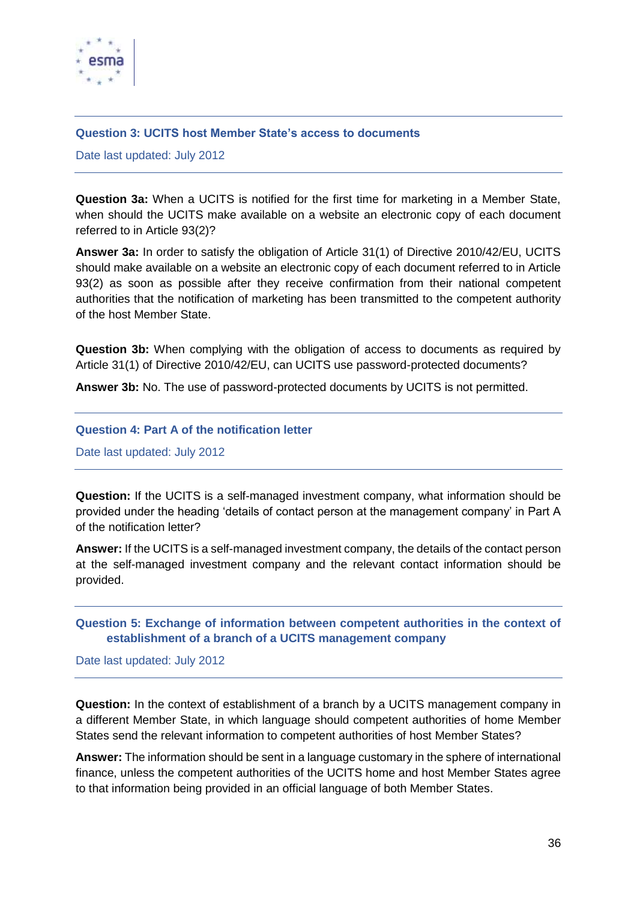

## <span id="page-35-0"></span>**Question 3: UCITS host Member State's access to documents**

Date last updated: July 2012

**Question 3a:** When a UCITS is notified for the first time for marketing in a Member State, when should the UCITS make available on a website an electronic copy of each document referred to in Article 93(2)?

**Answer 3a:** In order to satisfy the obligation of Article 31(1) of Directive 2010/42/EU, UCITS should make available on a website an electronic copy of each document referred to in Article 93(2) as soon as possible after they receive confirmation from their national competent authorities that the notification of marketing has been transmitted to the competent authority of the host Member State.

**Question 3b:** When complying with the obligation of access to documents as required by Article 31(1) of Directive 2010/42/EU, can UCITS use password-protected documents?

**Answer 3b:** No. The use of password-protected documents by UCITS is not permitted.

## <span id="page-35-1"></span>**Question 4: Part A of the notification letter**

Date last updated: July 2012

**Question:** If the UCITS is a self-managed investment company, what information should be provided under the heading 'details of contact person at the management company' in Part A of the notification letter?

**Answer:** If the UCITS is a self-managed investment company, the details of the contact person at the self-managed investment company and the relevant contact information should be provided.

# <span id="page-35-2"></span>**Question 5: Exchange of information between competent authorities in the context of establishment of a branch of a UCITS management company**

Date last updated: July 2012

**Question:** In the context of establishment of a branch by a UCITS management company in a different Member State, in which language should competent authorities of home Member States send the relevant information to competent authorities of host Member States?

**Answer:** The information should be sent in a language customary in the sphere of international finance, unless the competent authorities of the UCITS home and host Member States agree to that information being provided in an official language of both Member States.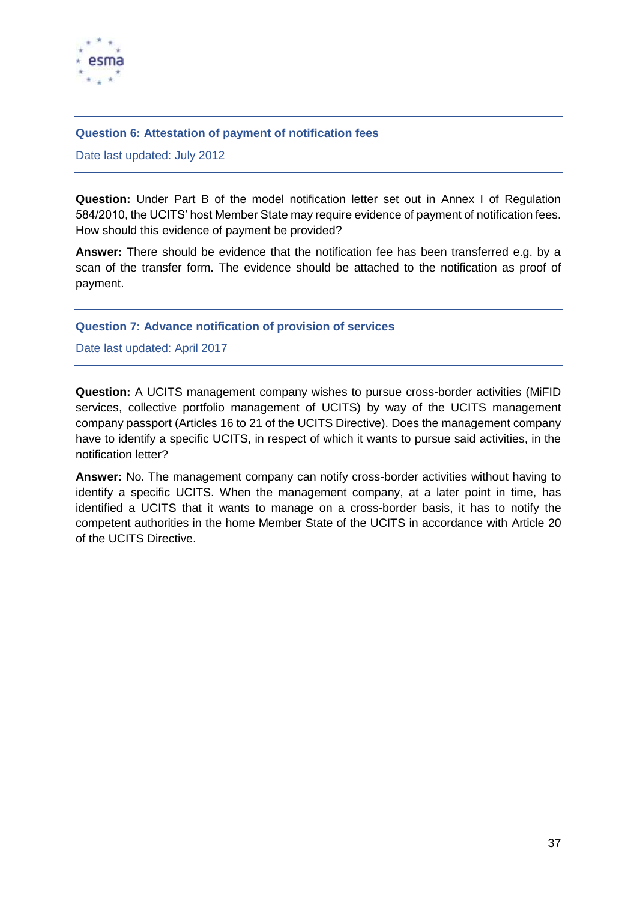

#### <span id="page-36-0"></span>**Question 6: Attestation of payment of notification fees**

Date last updated: July 2012

**Question:** Under Part B of the model notification letter set out in Annex I of Regulation 584/2010, the UCITS' host Member State may require evidence of payment of notification fees. How should this evidence of payment be provided?

**Answer:** There should be evidence that the notification fee has been transferred e.g. by a scan of the transfer form. The evidence should be attached to the notification as proof of payment.

## <span id="page-36-1"></span>**Question 7: Advance notification of provision of services**

Date last updated: April 2017

**Question:** A UCITS management company wishes to pursue cross-border activities (MiFID services, collective portfolio management of UCITS) by way of the UCITS management company passport (Articles 16 to 21 of the UCITS Directive). Does the management company have to identify a specific UCITS, in respect of which it wants to pursue said activities, in the notification letter?

**Answer:** No. The management company can notify cross-border activities without having to identify a specific UCITS. When the management company, at a later point in time, has identified a UCITS that it wants to manage on a cross-border basis, it has to notify the competent authorities in the home Member State of the UCITS in accordance with Article 20 of the UCITS Directive.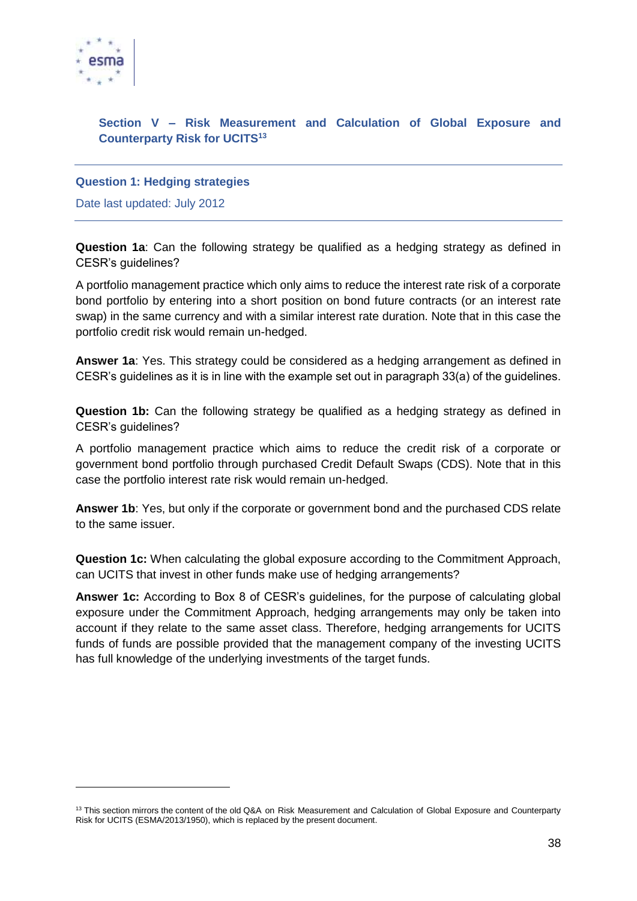

1

# <span id="page-37-0"></span>**Section V – Risk Measurement and Calculation of Global Exposure and Counterparty Risk for UCITS<sup>13</sup>**

## <span id="page-37-1"></span>**Question 1: Hedging strategies**

Date last updated: July 2012

**Question 1a**: Can the following strategy be qualified as a hedging strategy as defined in CESR's guidelines?

A portfolio management practice which only aims to reduce the interest rate risk of a corporate bond portfolio by entering into a short position on bond future contracts (or an interest rate swap) in the same currency and with a similar interest rate duration. Note that in this case the portfolio credit risk would remain un-hedged.

**Answer 1a**: Yes. This strategy could be considered as a hedging arrangement as defined in CESR's guidelines as it is in line with the example set out in paragraph 33(a) of the guidelines.

**Question 1b:** Can the following strategy be qualified as a hedging strategy as defined in CESR's guidelines?

A portfolio management practice which aims to reduce the credit risk of a corporate or government bond portfolio through purchased Credit Default Swaps (CDS). Note that in this case the portfolio interest rate risk would remain un-hedged.

**Answer 1b**: Yes, but only if the corporate or government bond and the purchased CDS relate to the same issuer.

**Question 1c:** When calculating the global exposure according to the Commitment Approach, can UCITS that invest in other funds make use of hedging arrangements?

**Answer 1c:** According to Box 8 of CESR's guidelines, for the purpose of calculating global exposure under the Commitment Approach, hedging arrangements may only be taken into account if they relate to the same asset class. Therefore, hedging arrangements for UCITS funds of funds are possible provided that the management company of the investing UCITS has full knowledge of the underlying investments of the target funds.

<sup>&</sup>lt;sup>13</sup> This section mirrors the content of the old Q&A on Risk Measurement and Calculation of Global Exposure and Counterparty Risk for UCITS (ESMA/2013/1950), which is replaced by the present document.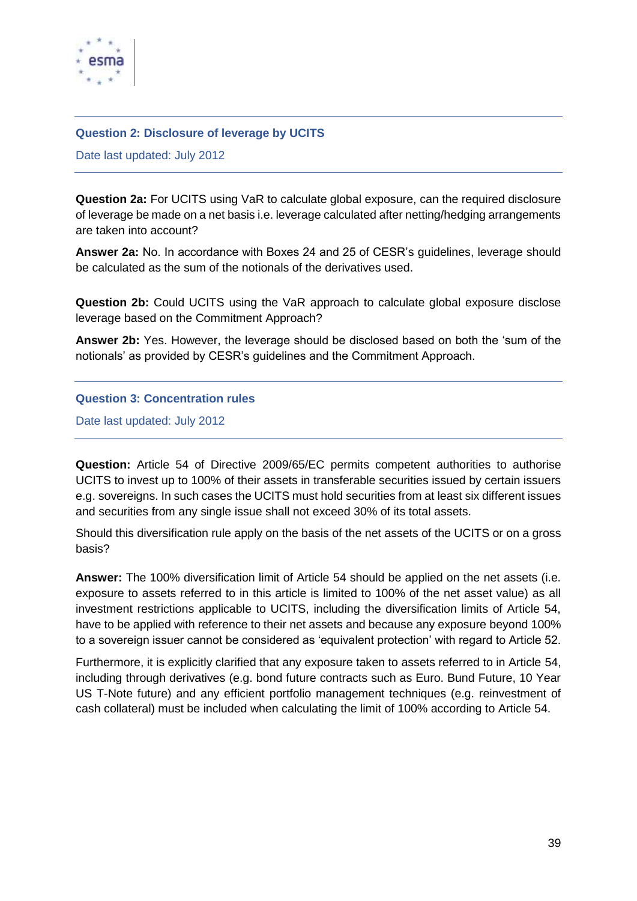

## <span id="page-38-0"></span>**Question 2: Disclosure of leverage by UCITS**

Date last updated: July 2012

**Question 2a:** For UCITS using VaR to calculate global exposure, can the required disclosure of leverage be made on a net basis i.e. leverage calculated after netting/hedging arrangements are taken into account?

**Answer 2a:** No. In accordance with Boxes 24 and 25 of CESR's guidelines, leverage should be calculated as the sum of the notionals of the derivatives used.

**Question 2b:** Could UCITS using the VaR approach to calculate global exposure disclose leverage based on the Commitment Approach?

**Answer 2b:** Yes. However, the leverage should be disclosed based on both the 'sum of the notionals' as provided by CESR's guidelines and the Commitment Approach.

## <span id="page-38-1"></span>**Question 3: Concentration rules**

Date last updated: July 2012

**Question:** Article 54 of Directive 2009/65/EC permits competent authorities to authorise UCITS to invest up to 100% of their assets in transferable securities issued by certain issuers e.g. sovereigns. In such cases the UCITS must hold securities from at least six different issues and securities from any single issue shall not exceed 30% of its total assets.

Should this diversification rule apply on the basis of the net assets of the UCITS or on a gross basis?

**Answer:** The 100% diversification limit of Article 54 should be applied on the net assets (i.e. exposure to assets referred to in this article is limited to 100% of the net asset value) as all investment restrictions applicable to UCITS, including the diversification limits of Article 54, have to be applied with reference to their net assets and because any exposure beyond 100% to a sovereign issuer cannot be considered as 'equivalent protection' with regard to Article 52.

Furthermore, it is explicitly clarified that any exposure taken to assets referred to in Article 54, including through derivatives (e.g. bond future contracts such as Euro. Bund Future, 10 Year US T-Note future) and any efficient portfolio management techniques (e.g. reinvestment of cash collateral) must be included when calculating the limit of 100% according to Article 54.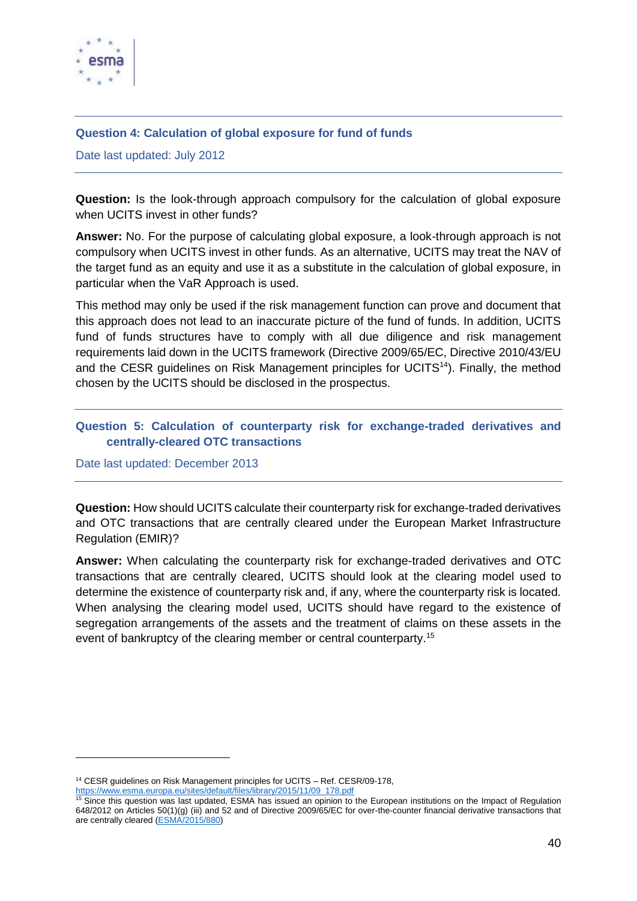

## <span id="page-39-0"></span>**Question 4: Calculation of global exposure for fund of funds**

Date last updated: July 2012

**Question:** Is the look-through approach compulsory for the calculation of global exposure when UCITS invest in other funds?

**Answer:** No. For the purpose of calculating global exposure, a look-through approach is not compulsory when UCITS invest in other funds. As an alternative, UCITS may treat the NAV of the target fund as an equity and use it as a substitute in the calculation of global exposure, in particular when the VaR Approach is used.

This method may only be used if the risk management function can prove and document that this approach does not lead to an inaccurate picture of the fund of funds. In addition, UCITS fund of funds structures have to comply with all due diligence and risk management requirements laid down in the UCITS framework (Directive 2009/65/EC, Directive 2010/43/EU and the CESR guidelines on Risk Management principles for UCITS<sup>14</sup>). Finally, the method chosen by the UCITS should be disclosed in the prospectus.

# <span id="page-39-1"></span>**Question 5: Calculation of counterparty risk for exchange-traded derivatives and centrally-cleared OTC transactions**

Date last updated: December 2013

 $\overline{a}$ 

**Question:** How should UCITS calculate their counterparty risk for exchange-traded derivatives and OTC transactions that are centrally cleared under the European Market Infrastructure Regulation (EMIR)?

**Answer:** When calculating the counterparty risk for exchange-traded derivatives and OTC transactions that are centrally cleared, UCITS should look at the clearing model used to determine the existence of counterparty risk and, if any, where the counterparty risk is located. When analysing the clearing model used, UCITS should have regard to the existence of segregation arrangements of the assets and the treatment of claims on these assets in the event of bankruptcy of the clearing member or central counterparty.<sup>15</sup>

<sup>&</sup>lt;sup>14</sup> CESR guidelines on Risk Management principles for UCITS – Ref. CESR/09-178. [https://www.esma.europa.eu/sites/default/files/library/2015/11/09\\_178.pdf](https://www.esma.europa.eu/sites/default/files/library/2015/11/09_178.pdf)

 $15$  Since this question was last updated, ESMA has issued an opinion to the European institutions on the Impact of Regulation 648/2012 on Articles 50(1)(g) (iii) and 52 and of Directive 2009/65/EC for over-the-counter financial derivative transactions that are centrally cleared [\(ESMA/2015/880\)](https://www.esma.europa.eu/sites/default/files/library/2015/11/2015-880_esma_opinion_on_impact_of_emir_on_ucits.pdf)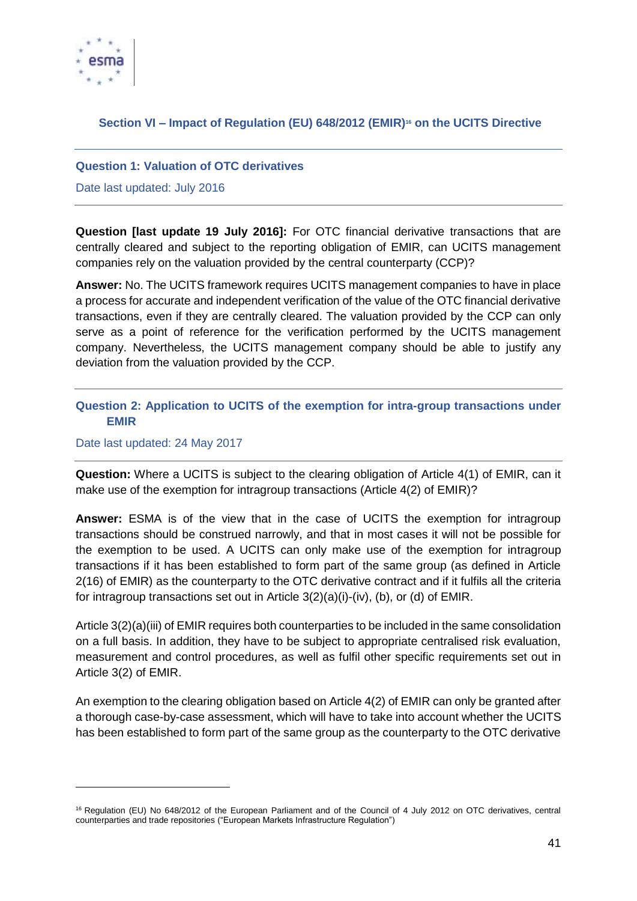

# <span id="page-40-0"></span>**Section VI – Impact of Regulation (EU) 648/2012 (EMIR)<sup>16</sup> on the UCITS Directive**

## <span id="page-40-1"></span>**Question 1: Valuation of OTC derivatives**

Date last updated: July 2016

**Question [last update 19 July 2016]:** For OTC financial derivative transactions that are centrally cleared and subject to the reporting obligation of EMIR, can UCITS management companies rely on the valuation provided by the central counterparty (CCP)?

**Answer:** No. The UCITS framework requires UCITS management companies to have in place a process for accurate and independent verification of the value of the OTC financial derivative transactions, even if they are centrally cleared. The valuation provided by the CCP can only serve as a point of reference for the verification performed by the UCITS management company. Nevertheless, the UCITS management company should be able to justify any deviation from the valuation provided by the CCP.

## <span id="page-40-2"></span>**Question 2: Application to UCITS of the exemption for intra-group transactions under EMIR**

#### Date last updated: 24 May 2017

1

**Question:** Where a UCITS is subject to the clearing obligation of Article 4(1) of EMIR, can it make use of the exemption for intragroup transactions (Article 4(2) of EMIR)?

**Answer:** ESMA is of the view that in the case of UCITS the exemption for intragroup transactions should be construed narrowly, and that in most cases it will not be possible for the exemption to be used. A UCITS can only make use of the exemption for intragroup transactions if it has been established to form part of the same group (as defined in Article 2(16) of EMIR) as the counterparty to the OTC derivative contract and if it fulfils all the criteria for intragroup transactions set out in Article 3(2)(a)(i)-(iv), (b), or (d) of EMIR.

Article 3(2)(a)(iii) of EMIR requires both counterparties to be included in the same consolidation on a full basis. In addition, they have to be subject to appropriate centralised risk evaluation, measurement and control procedures, as well as fulfil other specific requirements set out in Article 3(2) of EMIR.

An exemption to the clearing obligation based on Article 4(2) of EMIR can only be granted after a thorough case-by-case assessment, which will have to take into account whether the UCITS has been established to form part of the same group as the counterparty to the OTC derivative

<sup>&</sup>lt;sup>16</sup> Regulation (EU) No 648/2012 of the European Parliament and of the Council of 4 July 2012 on OTC derivatives, central counterparties and trade repositories ("European Markets Infrastructure Regulation")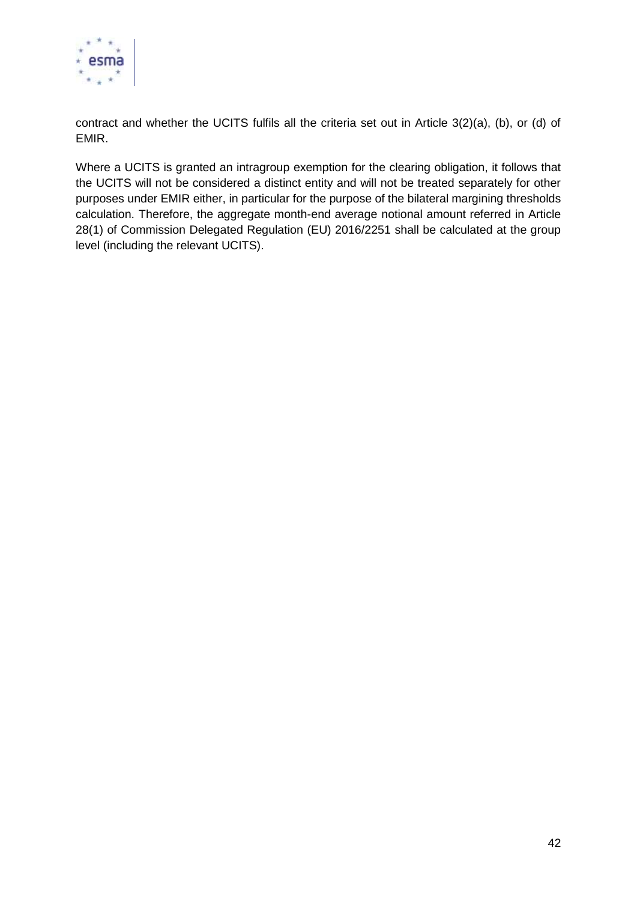

contract and whether the UCITS fulfils all the criteria set out in Article 3(2)(a), (b), or (d) of EMIR.

Where a UCITS is granted an intragroup exemption for the clearing obligation, it follows that the UCITS will not be considered a distinct entity and will not be treated separately for other purposes under EMIR either, in particular for the purpose of the bilateral margining thresholds calculation. Therefore, the aggregate month-end average notional amount referred in Article 28(1) of Commission Delegated Regulation (EU) 2016/2251 shall be calculated at the group level (including the relevant UCITS).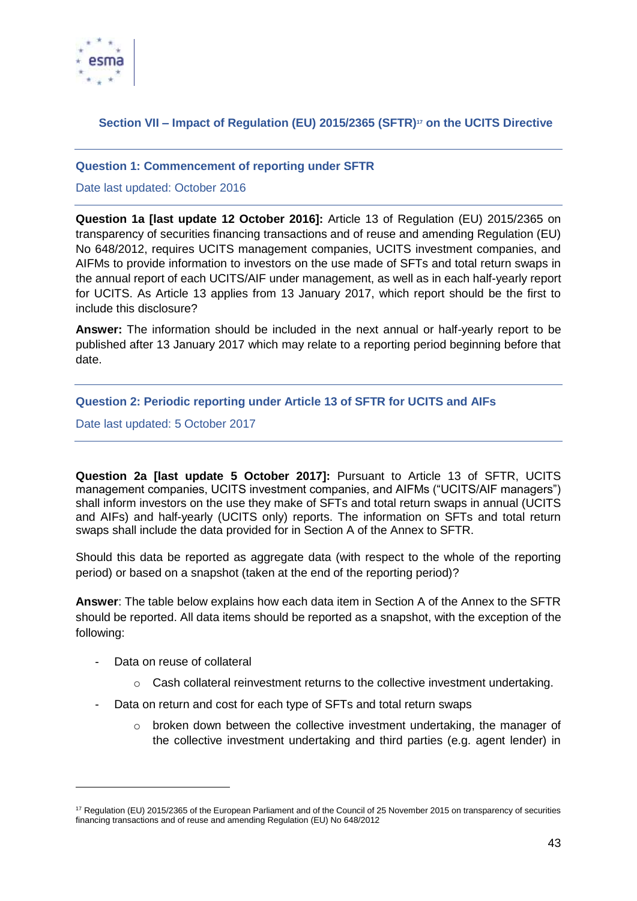

# <span id="page-42-0"></span>**Section VII – Impact of Regulation (EU) 2015/2365 (SFTR)<sup>17</sup> on the UCITS Directive**

## <span id="page-42-1"></span>**Question 1: Commencement of reporting under SFTR**

## Date last updated: October 2016

**Question 1a [last update 12 October 2016]:** Article 13 of Regulation (EU) 2015/2365 on transparency of securities financing transactions and of reuse and amending Regulation (EU) No 648/2012, requires UCITS management companies, UCITS investment companies, and AIFMs to provide information to investors on the use made of SFTs and total return swaps in the annual report of each UCITS/AIF under management, as well as in each half-yearly report for UCITS. As Article 13 applies from 13 January 2017, which report should be the first to include this disclosure?

**Answer:** The information should be included in the next annual or half-yearly report to be published after 13 January 2017 which may relate to a reporting period beginning before that date.

# <span id="page-42-2"></span>**Question 2: Periodic reporting under Article 13 of SFTR for UCITS and AIFs**

Date last updated: 5 October 2017

**Question 2a [last update 5 October 2017]:** Pursuant to Article 13 of SFTR, UCITS management companies, UCITS investment companies, and AIFMs ("UCITS/AIF managers") shall inform investors on the use they make of SFTs and total return swaps in annual (UCITS and AIFs) and half-yearly (UCITS only) reports. The information on SFTs and total return swaps shall include the data provided for in Section A of the Annex to SFTR.

Should this data be reported as aggregate data (with respect to the whole of the reporting period) or based on a snapshot (taken at the end of the reporting period)?

**Answer**: The table below explains how each data item in Section A of the Annex to the SFTR should be reported. All data items should be reported as a snapshot, with the exception of the following:

Data on reuse of collateral

1

- $\circ$  Cash collateral reinvestment returns to the collective investment undertaking.
- Data on return and cost for each type of SFTs and total return swaps
	- $\circ$  broken down between the collective investment undertaking, the manager of the collective investment undertaking and third parties (e.g. agent lender) in

<sup>17</sup> Regulation (EU) 2015/2365 of the European Parliament and of the Council of 25 November 2015 on transparency of securities financing transactions and of reuse and amending Regulation (EU) No 648/2012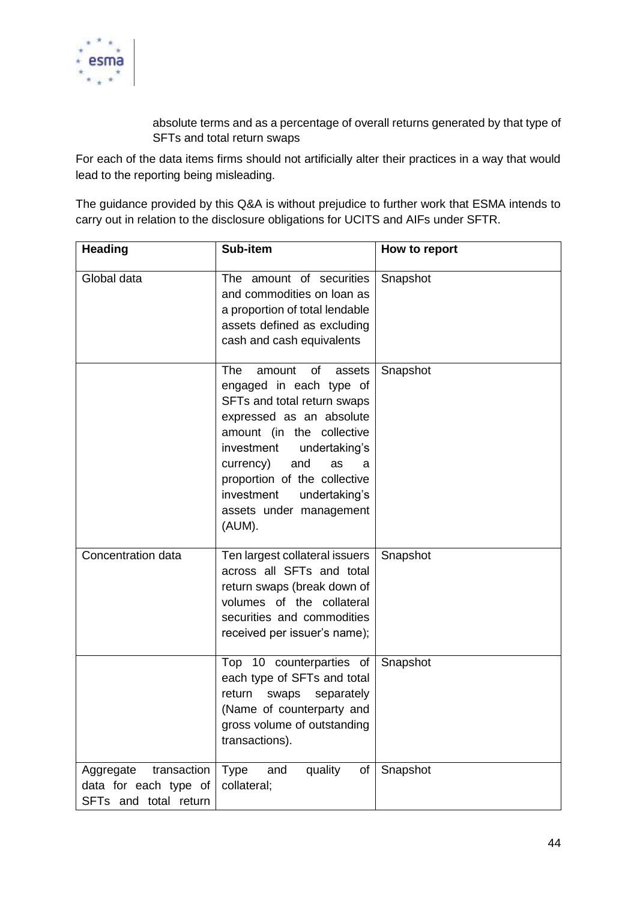

absolute terms and as a percentage of overall returns generated by that type of SFTs and total return swaps

For each of the data items firms should not artificially alter their practices in a way that would lead to the reporting being misleading.

The guidance provided by this Q&A is without prejudice to further work that ESMA intends to carry out in relation to the disclosure obligations for UCITS and AIFs under SFTR.

| <b>Heading</b>                                                             | Sub-item                                                                                                                                                                                                                                                                                                           | How to report |
|----------------------------------------------------------------------------|--------------------------------------------------------------------------------------------------------------------------------------------------------------------------------------------------------------------------------------------------------------------------------------------------------------------|---------------|
| Global data                                                                | The amount of securities<br>and commodities on loan as<br>a proportion of total lendable<br>assets defined as excluding<br>cash and cash equivalents                                                                                                                                                               | Snapshot      |
|                                                                            | The<br>of<br>amount<br>assets<br>engaged in each type of<br>SFTs and total return swaps<br>expressed as an absolute<br>amount (in the collective<br>investment<br>undertaking's<br>currency)<br>and<br>as<br>a<br>proportion of the collective<br>investment<br>undertaking's<br>assets under management<br>(AUM). | Snapshot      |
| Concentration data                                                         | Ten largest collateral issuers<br>across all SFTs and total<br>return swaps (break down of<br>volumes of the collateral<br>securities and commodities<br>received per issuer's name);                                                                                                                              | Snapshot      |
|                                                                            | Top 10 counterparties of<br>each type of SFTs and total<br>swaps separately<br>return<br>(Name of counterparty and<br>gross volume of outstanding<br>transactions).                                                                                                                                                | Snapshot      |
| Aggregate<br>transaction<br>data for each type of<br>SFTs and total return | quality<br><b>Type</b><br>and<br>of<br>collateral;                                                                                                                                                                                                                                                                 | Snapshot      |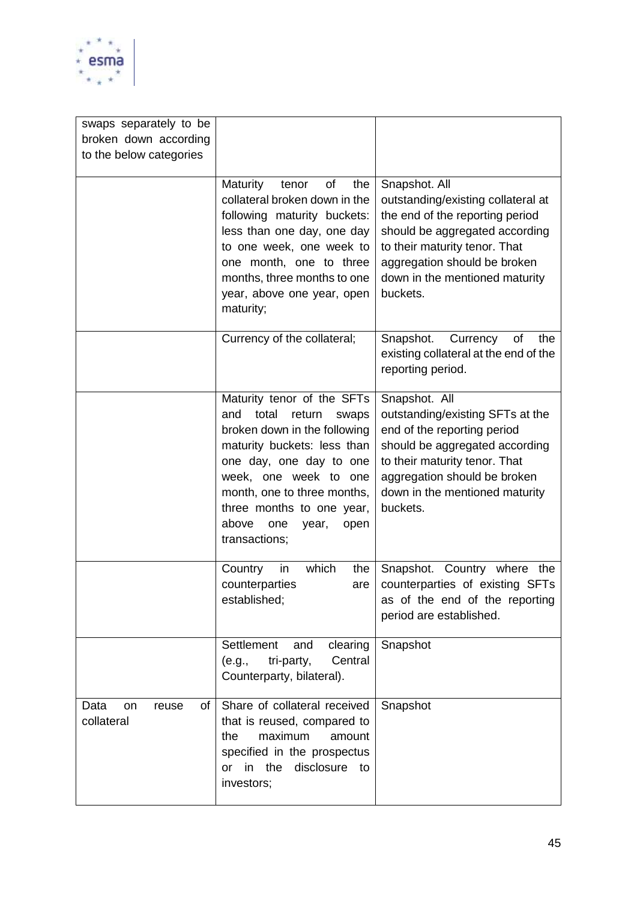

| swaps separately to be                  |                                                                                                                                                                                                                                                                                                |                                                                                                                                                                                                                                         |
|-----------------------------------------|------------------------------------------------------------------------------------------------------------------------------------------------------------------------------------------------------------------------------------------------------------------------------------------------|-----------------------------------------------------------------------------------------------------------------------------------------------------------------------------------------------------------------------------------------|
| broken down according                   |                                                                                                                                                                                                                                                                                                |                                                                                                                                                                                                                                         |
| to the below categories                 |                                                                                                                                                                                                                                                                                                |                                                                                                                                                                                                                                         |
|                                         | Maturity<br>of<br>the<br>tenor<br>collateral broken down in the<br>following maturity buckets:<br>less than one day, one day<br>to one week, one week to<br>one month, one to three<br>months, three months to one<br>year, above one year, open<br>maturity;                                  | Snapshot. All<br>outstanding/existing collateral at<br>the end of the reporting period<br>should be aggregated according<br>to their maturity tenor. That<br>aggregation should be broken<br>down in the mentioned maturity<br>buckets. |
|                                         | Currency of the collateral;                                                                                                                                                                                                                                                                    | of<br>the<br>Snapshot.<br>Currency<br>existing collateral at the end of the<br>reporting period.                                                                                                                                        |
|                                         | Maturity tenor of the SFTs<br>total<br>and<br>return<br>swaps<br>broken down in the following<br>maturity buckets: less than<br>one day, one day to one<br>week, one week to one<br>month, one to three months,<br>three months to one year,<br>above<br>one<br>year,<br>open<br>transactions; | Snapshot. All<br>outstanding/existing SFTs at the<br>end of the reporting period<br>should be aggregated according<br>to their maturity tenor. That<br>aggregation should be broken<br>down in the mentioned maturity<br>buckets.       |
|                                         | which<br>Country<br>the<br>in<br>counterparties<br>are<br>established;                                                                                                                                                                                                                         | Snapshot. Country where the<br>counterparties of existing SFTs<br>as of the end of the reporting<br>period are established.                                                                                                             |
|                                         | Settlement<br>clearing<br>and<br>tri-party,<br>Central<br>(e.g.,<br>Counterparty, bilateral).                                                                                                                                                                                                  | Snapshot                                                                                                                                                                                                                                |
| Data<br>of<br>on<br>reuse<br>collateral | Share of collateral received<br>that is reused, compared to<br>maximum<br>the<br>amount<br>specified in the prospectus<br>or in the<br>disclosure to<br>investors;                                                                                                                             | Snapshot                                                                                                                                                                                                                                |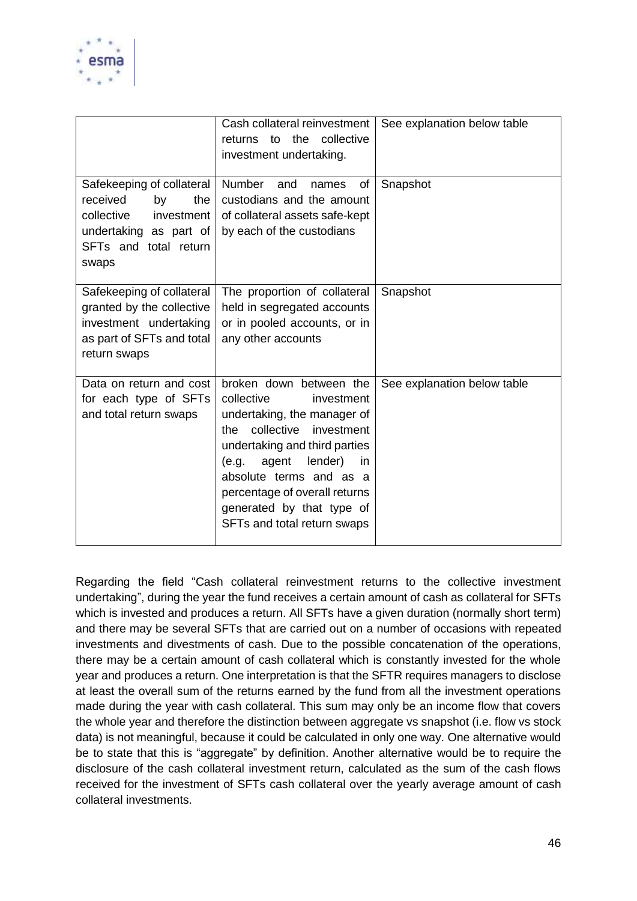

|                                                                                                                                            | Cash collateral reinvestment<br>collective<br>returns to the<br>investment undertaking.                                                                                                                                                                                                                               | See explanation below table |
|--------------------------------------------------------------------------------------------------------------------------------------------|-----------------------------------------------------------------------------------------------------------------------------------------------------------------------------------------------------------------------------------------------------------------------------------------------------------------------|-----------------------------|
| Safekeeping of collateral<br>the<br>received<br>by<br>collective<br>investment<br>undertaking as part of<br>SFTs and total return<br>swaps | <b>Number</b><br>and<br>of<br>names<br>custodians and the amount<br>of collateral assets safe-kept<br>by each of the custodians                                                                                                                                                                                       | Snapshot                    |
| Safekeeping of collateral<br>granted by the collective<br>investment undertaking<br>as part of SFTs and total<br>return swaps              | The proportion of collateral<br>held in segregated accounts<br>or in pooled accounts, or in<br>any other accounts                                                                                                                                                                                                     | Snapshot                    |
| Data on return and cost<br>for each type of SFTs<br>and total return swaps                                                                 | broken down between the<br>collective<br>investment<br>undertaking, the manager of<br>the collective<br>investment<br>undertaking and third parties<br>agent<br>lender)<br>(e.g.<br><i>in</i><br>absolute terms and as a<br>percentage of overall returns<br>generated by that type of<br>SFTs and total return swaps | See explanation below table |

Regarding the field "Cash collateral reinvestment returns to the collective investment undertaking", during the year the fund receives a certain amount of cash as collateral for SFTs which is invested and produces a return. All SFTs have a given duration (normally short term) and there may be several SFTs that are carried out on a number of occasions with repeated investments and divestments of cash. Due to the possible concatenation of the operations, there may be a certain amount of cash collateral which is constantly invested for the whole year and produces a return. One interpretation is that the SFTR requires managers to disclose at least the overall sum of the returns earned by the fund from all the investment operations made during the year with cash collateral. This sum may only be an income flow that covers the whole year and therefore the distinction between aggregate vs snapshot (i.e. flow vs stock data) is not meaningful, because it could be calculated in only one way. One alternative would be to state that this is "aggregate" by definition. Another alternative would be to require the disclosure of the cash collateral investment return, calculated as the sum of the cash flows received for the investment of SFTs cash collateral over the yearly average amount of cash collateral investments.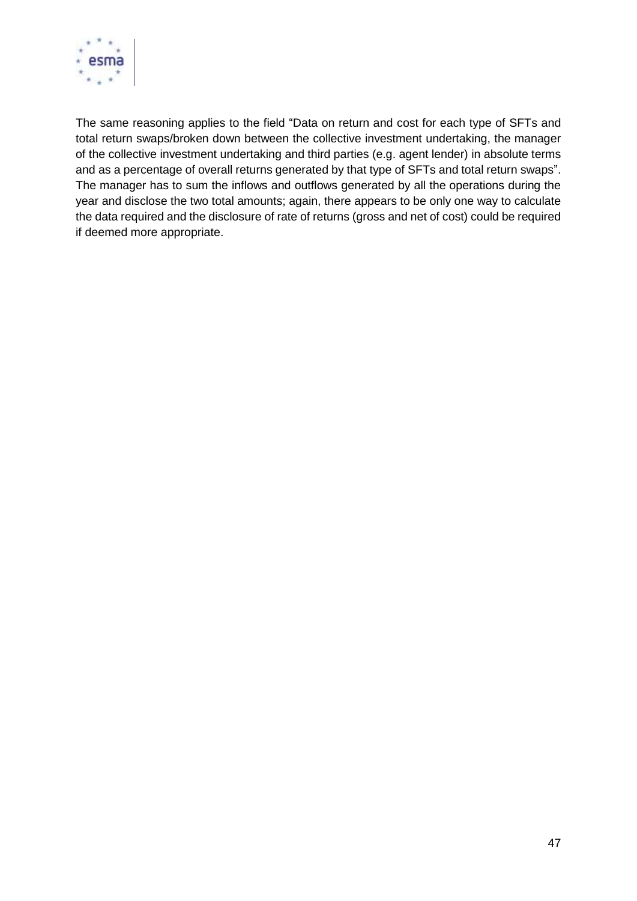

The same reasoning applies to the field "Data on return and cost for each type of SFTs and total return swaps/broken down between the collective investment undertaking, the manager of the collective investment undertaking and third parties (e.g. agent lender) in absolute terms and as a percentage of overall returns generated by that type of SFTs and total return swaps". The manager has to sum the inflows and outflows generated by all the operations during the year and disclose the two total amounts; again, there appears to be only one way to calculate the data required and the disclosure of rate of returns (gross and net of cost) could be required if deemed more appropriate.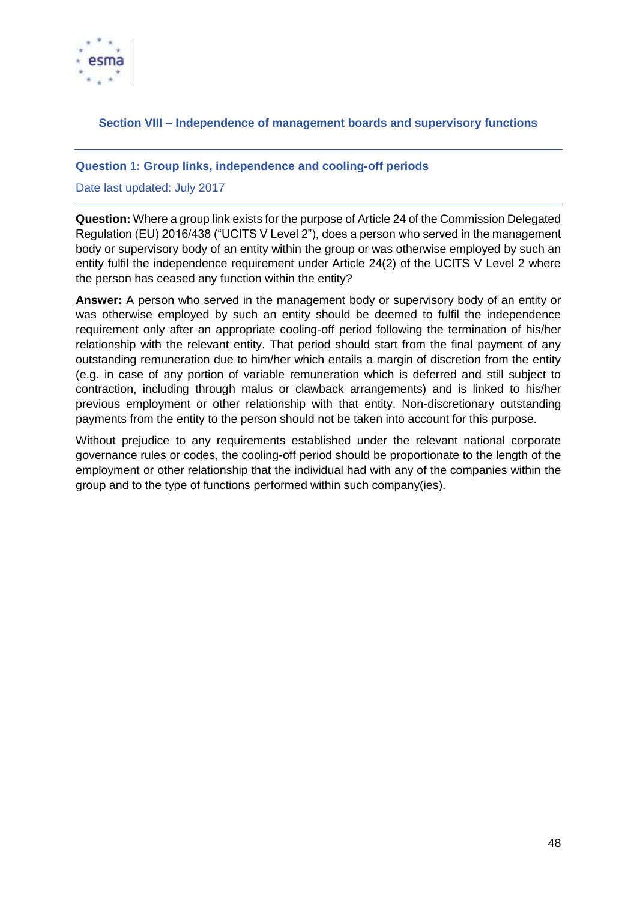

## <span id="page-47-0"></span>**Section VIII – Independence of management boards and supervisory functions**

#### <span id="page-47-1"></span>**Question 1: Group links, independence and cooling-off periods**

#### Date last updated: July 2017

**Question:** Where a group link exists for the purpose of Article 24 of the Commission Delegated Regulation (EU) 2016/438 ("UCITS V Level 2"), does a person who served in the management body or supervisory body of an entity within the group or was otherwise employed by such an entity fulfil the independence requirement under Article 24(2) of the UCITS V Level 2 where the person has ceased any function within the entity?

**Answer:** A person who served in the management body or supervisory body of an entity or was otherwise employed by such an entity should be deemed to fulfil the independence requirement only after an appropriate cooling-off period following the termination of his/her relationship with the relevant entity. That period should start from the final payment of any outstanding remuneration due to him/her which entails a margin of discretion from the entity (e.g. in case of any portion of variable remuneration which is deferred and still subject to contraction, including through malus or clawback arrangements) and is linked to his/her previous employment or other relationship with that entity. Non-discretionary outstanding payments from the entity to the person should not be taken into account for this purpose.

Without prejudice to any requirements established under the relevant national corporate governance rules or codes, the cooling-off period should be proportionate to the length of the employment or other relationship that the individual had with any of the companies within the group and to the type of functions performed within such company(ies).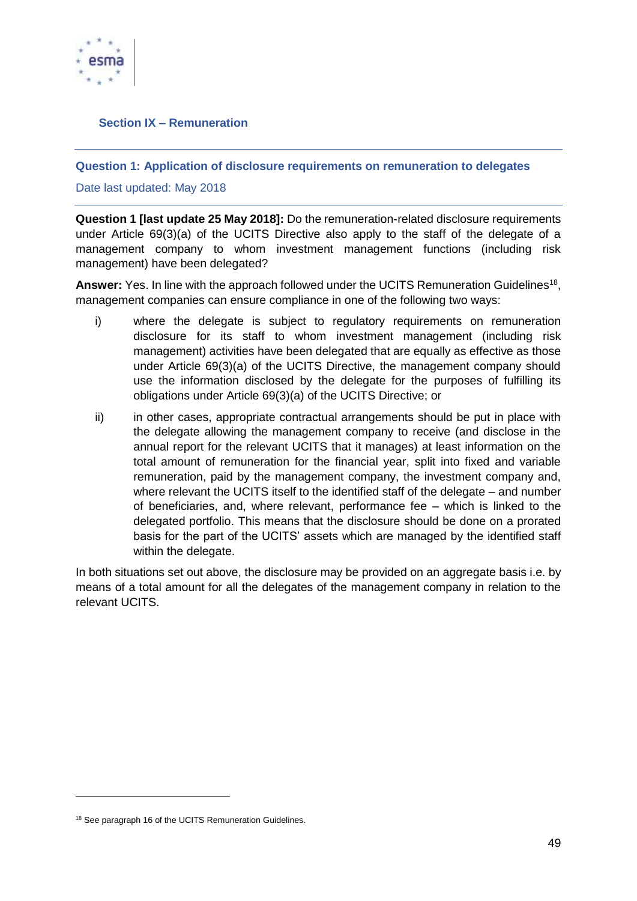

# <span id="page-48-0"></span>**Section IX – Remuneration**

## <span id="page-48-1"></span>**Question 1: Application of disclosure requirements on remuneration to delegates**

Date last updated: May 2018

**Question 1 [last update 25 May 2018]:** Do the remuneration-related disclosure requirements under Article 69(3)(a) of the UCITS Directive also apply to the staff of the delegate of a management company to whom investment management functions (including risk management) have been delegated?

Answer: Yes. In line with the approach followed under the UCITS Remuneration Guidelines<sup>18</sup>, management companies can ensure compliance in one of the following two ways:

- i) where the delegate is subject to regulatory requirements on remuneration disclosure for its staff to whom investment management (including risk management) activities have been delegated that are equally as effective as those under Article 69(3)(a) of the UCITS Directive, the management company should use the information disclosed by the delegate for the purposes of fulfilling its obligations under Article 69(3)(a) of the UCITS Directive; or
- ii) in other cases, appropriate contractual arrangements should be put in place with the delegate allowing the management company to receive (and disclose in the annual report for the relevant UCITS that it manages) at least information on the total amount of remuneration for the financial year, split into fixed and variable remuneration, paid by the management company, the investment company and, where relevant the UCITS itself to the identified staff of the delegate – and number of beneficiaries, and, where relevant, performance fee – which is linked to the delegated portfolio. This means that the disclosure should be done on a prorated basis for the part of the UCITS' assets which are managed by the identified staff within the delegate.

In both situations set out above, the disclosure may be provided on an aggregate basis i.e. by means of a total amount for all the delegates of the management company in relation to the relevant UCITS.

1

<sup>&</sup>lt;sup>18</sup> See paragraph 16 of the UCITS Remuneration Guidelines.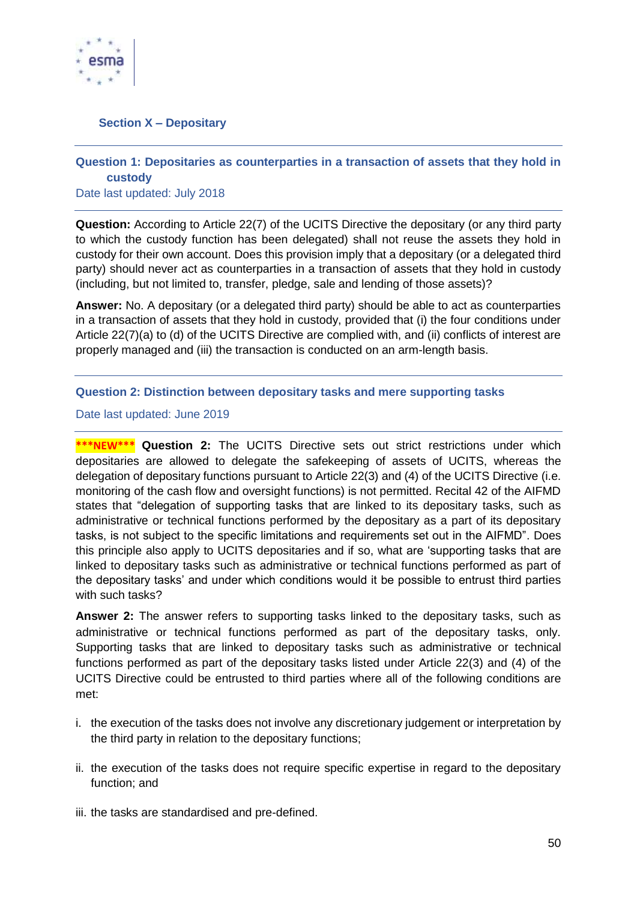

## <span id="page-49-0"></span>**Section X – Depositary**

# <span id="page-49-1"></span>**Question 1: Depositaries as counterparties in a transaction of assets that they hold in custody**

Date last updated: July 2018

**Question:** According to Article 22(7) of the UCITS Directive the depositary (or any third party to which the custody function has been delegated) shall not reuse the assets they hold in custody for their own account. Does this provision imply that a depositary (or a delegated third party) should never act as counterparties in a transaction of assets that they hold in custody (including, but not limited to, transfer, pledge, sale and lending of those assets)?

**Answer:** No. A depositary (or a delegated third party) should be able to act as counterparties in a transaction of assets that they hold in custody, provided that (i) the four conditions under Article 22(7)(a) to (d) of the UCITS Directive are complied with, and (ii) conflicts of interest are properly managed and (iii) the transaction is conducted on an arm-length basis.

## <span id="page-49-2"></span>**Question 2: Distinction between depositary tasks and mere supporting tasks**

Date last updated: June 2019

**\*\*\*NEW\*\*\* Question 2:** The UCITS Directive sets out strict restrictions under which depositaries are allowed to delegate the safekeeping of assets of UCITS, whereas the delegation of depositary functions pursuant to Article 22(3) and (4) of the UCITS Directive (i.e. monitoring of the cash flow and oversight functions) is not permitted. Recital 42 of the AIFMD states that "delegation of supporting tasks that are linked to its depositary tasks, such as administrative or technical functions performed by the depositary as a part of its depositary tasks, is not subject to the specific limitations and requirements set out in the AIFMD". Does this principle also apply to UCITS depositaries and if so, what are 'supporting tasks that are linked to depositary tasks such as administrative or technical functions performed as part of the depositary tasks' and under which conditions would it be possible to entrust third parties with such tasks?

**Answer 2:** The answer refers to supporting tasks linked to the depositary tasks, such as administrative or technical functions performed as part of the depositary tasks, only. Supporting tasks that are linked to depositary tasks such as administrative or technical functions performed as part of the depositary tasks listed under Article 22(3) and (4) of the UCITS Directive could be entrusted to third parties where all of the following conditions are met:

- i. the execution of the tasks does not involve any discretionary judgement or interpretation by the third party in relation to the depositary functions;
- ii. the execution of the tasks does not require specific expertise in regard to the depositary function; and
- iii. the tasks are standardised and pre-defined.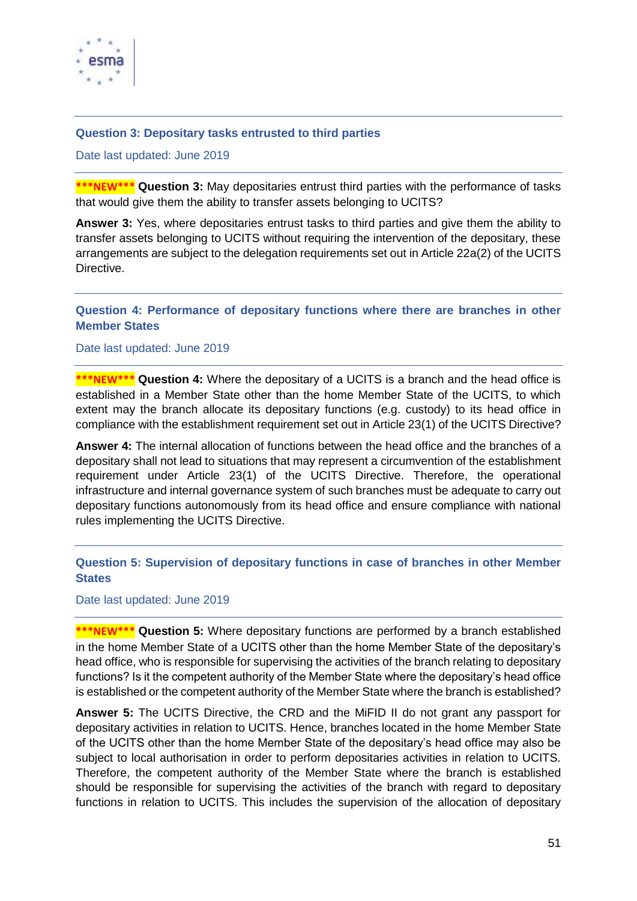

#### <span id="page-50-0"></span>**Question 3: Depositary tasks entrusted to third parties**

Date last updated: June 2019

**\*\*\*NEW\*\*\* Question 3:** May depositaries entrust third parties with the performance of tasks that would give them the ability to transfer assets belonging to UCITS?

**Answer 3:** Yes, where depositaries entrust tasks to third parties and give them the ability to transfer assets belonging to UCITS without requiring the intervention of the depositary, these arrangements are subject to the delegation requirements set out in Article 22a(2) of the UCITS **Directive** 

## <span id="page-50-1"></span>**Question 4: Performance of depositary functions where there are branches in other Member States**

Date last updated: June 2019

**\*\*\*NEW\*\*\* Question 4:** Where the depositary of a UCITS is a branch and the head office is established in a Member State other than the home Member State of the UCITS, to which extent may the branch allocate its depositary functions (e.g. custody) to its head office in compliance with the establishment requirement set out in Article 23(1) of the UCITS Directive?

**Answer 4:** The internal allocation of functions between the head office and the branches of a depositary shall not lead to situations that may represent a circumvention of the establishment requirement under Article 23(1) of the UCITS Directive. Therefore, the operational infrastructure and internal governance system of such branches must be adequate to carry out depositary functions autonomously from its head office and ensure compliance with national rules implementing the UCITS Directive.

<span id="page-50-2"></span>**Question 5: Supervision of depositary functions in case of branches in other Member States**

Date last updated: June 2019

**\*\*\*NEW\*\*\* Question 5:** Where depositary functions are performed by a branch established in the home Member State of a UCITS other than the home Member State of the depositary's head office, who is responsible for supervising the activities of the branch relating to depositary functions? Is it the competent authority of the Member State where the depositary's head office is established or the competent authority of the Member State where the branch is established?

**Answer 5:** The UCITS Directive, the CRD and the MiFID II do not grant any passport for depositary activities in relation to UCITS. Hence, branches located in the home Member State of the UCITS other than the home Member State of the depositary's head office may also be subject to local authorisation in order to perform depositaries activities in relation to UCITS. Therefore, the competent authority of the Member State where the branch is established should be responsible for supervising the activities of the branch with regard to depositary functions in relation to UCITS. This includes the supervision of the allocation of depositary